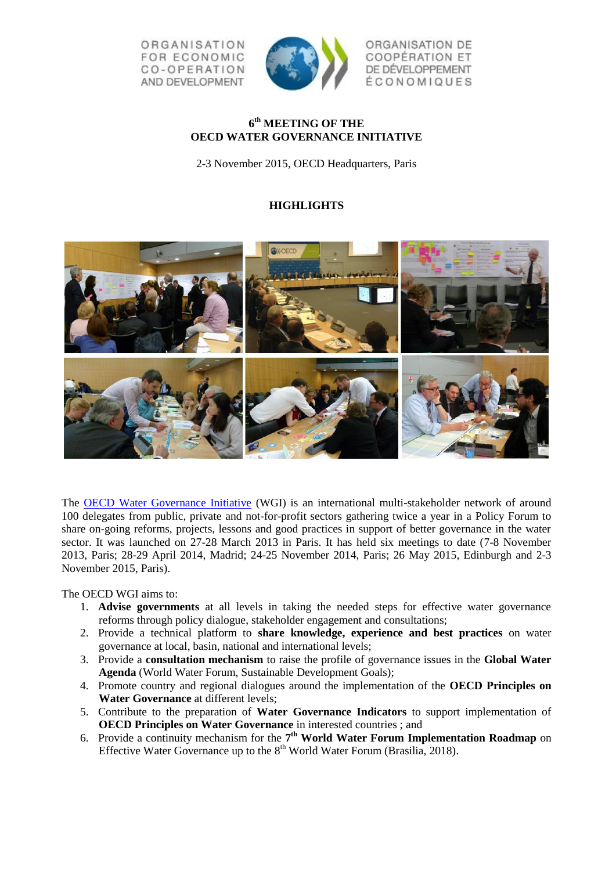ORGANISATION **FOR ECONOMIC** CO-OPERATION AND DEVELOPMENT



ORGANISATION DE **COOPÉRATION ET** DE DÉVELOPPEMENT ÉCONOMIQUES

## **6 th MEETING OF THE OECD WATER GOVERNANCE INITIATIVE**

2-3 November 2015, OECD Headquarters, Paris

## **HIGHLIGHTS**



The [OECD Water Governance Initiative](http://www.oecd.org/gov/regional-policy/water-governance-initiative.htm) (WGI) is an international multi-stakeholder network of around 100 delegates from public, private and not-for-profit sectors gathering twice a year in a Policy Forum to share on-going reforms, projects, lessons and good practices in support of better governance in the water sector. It was launched on 27-28 March 2013 in Paris. It has held six meetings to date (7-8 November 2013, Paris; 28-29 April 2014, Madrid; 24-25 November 2014, Paris; 26 May 2015, Edinburgh and 2-3 November 2015, Paris).

The OECD WGI aims to:

- 1. **Advise governments** at all levels in taking the needed steps for effective water governance reforms through policy dialogue, stakeholder engagement and consultations;
- 2. Provide a technical platform to **share knowledge, experience and best practices** on water governance at local, basin, national and international levels;
- 3. Provide a **consultation mechanism** to raise the profile of governance issues in the **Global Water Agenda** (World Water Forum, Sustainable Development Goals);
- 4. Promote country and regional dialogues around the implementation of the **OECD Principles on Water Governance** at different levels;
- 5. Contribute to the preparation of **Water Governance Indicators** to support implementation of **OECD Principles on Water Governance** in interested countries ; and
- 6. Provide a continuity mechanism for the **7 th World Water Forum Implementation Roadmap** on Effective Water Governance up to the  $8<sup>th</sup>$  World Water Forum (Brasilia, 2018).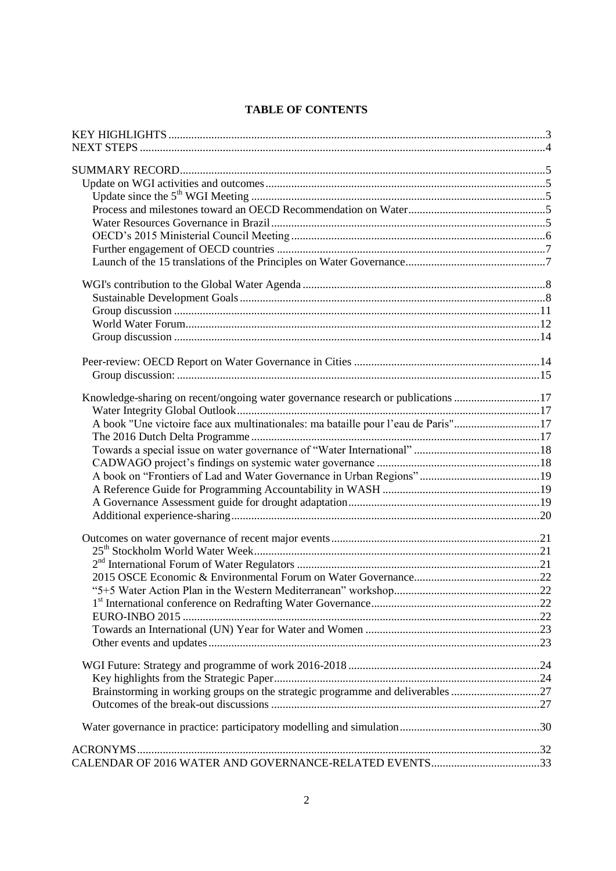# **TABLE OF CONTENTS**

| Knowledge-sharing on recent/ongoing water governance research or publications 17  |  |
|-----------------------------------------------------------------------------------|--|
|                                                                                   |  |
| A book "Une victoire face aux multinationales: ma bataille pour l'eau de Paris"17 |  |
|                                                                                   |  |
|                                                                                   |  |
|                                                                                   |  |
|                                                                                   |  |
|                                                                                   |  |
|                                                                                   |  |
|                                                                                   |  |
|                                                                                   |  |
|                                                                                   |  |
|                                                                                   |  |
|                                                                                   |  |
|                                                                                   |  |
|                                                                                   |  |
|                                                                                   |  |
|                                                                                   |  |
|                                                                                   |  |
|                                                                                   |  |
|                                                                                   |  |
| Brainstorming in working groups on the strategic programme and deliverables 27    |  |
|                                                                                   |  |
|                                                                                   |  |
|                                                                                   |  |
| CALENDAR OF 2016 WATER AND GOVERNANCE-RELATED EVENTS33                            |  |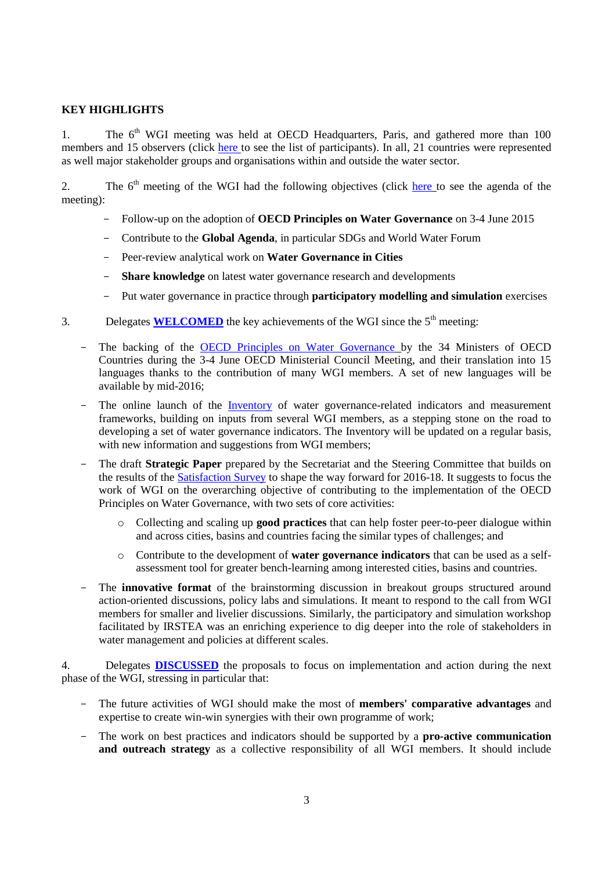## <span id="page-2-0"></span>**KEY HIGHLIGHTS**

1. The  $6<sup>th</sup>$  WGI meeting was held at OECD Headquarters, Paris, and gathered more than 100 members and 15 observers (click [here](http://www.oecd.org/gov/regional-policy/6-WGI-meeting-participants.pdf) to see the list of participants). In all, 21 countries were represented as well major stakeholder groups and organisations within and outside the water sector.

2. The 6<sup>th</sup> meeting of the WGI had the following objectives (click [here](http://www.oecd.org/regional/regional-policy/Agenda-WGI-6-meeting.pdf) to see the agenda of the meeting):

- Follow-up on the adoption of **OECD Principles on Water Governance** on 3-4 June 2015
- Contribute to the **Global Agenda**, in particular SDGs and World Water Forum
- Peer-review analytical work on **Water Governance in Cities**
- **Share knowledge** on latest water governance research and developments
- Put water governance in practice through **participatory modelling and simulation** exercises
- 3. Delegates **WELCOMED** the key achievements of the WGI since the  $5<sup>th</sup>$  meeting:
	- The backing of the [OECD Principles on Water Governance](http://www.oecd.org/governance/oecd-principles-on-water-governance.htm) by the 34 Ministers of OECD Countries during the 3-4 June OECD Ministerial Council Meeting, and their translation into 15 languages thanks to the contribution of many WGI members. A set of new languages will be available by mid-2016;
	- The online launch of the [Inventory](http://www.oecd.org/gov/regional-policy/Inventory_Indicators.pdf) of water governance-related indicators and measurement frameworks, building on inputs from several WGI members, as a stepping stone on the road to developing a set of water governance indicators. The Inventory will be updated on a regular basis, with new information and suggestions from WGI members;
	- The draft **Strategic Paper** prepared by the Secretariat and the Steering Committee that builds on the results of the [Satisfaction Survey](http://www.oecd.org/gov/regional-policy/WGI-Survey-synthesis.pdf) to shape the way forward for 2016-18. It suggests to focus the work of WGI on the overarching objective of contributing to the implementation of the OECD Principles on Water Governance, with two sets of core activities:
		- o Collecting and scaling up **good practices** that can help foster peer-to-peer dialogue within and across cities, basins and countries facing the similar types of challenges; and
		- o Contribute to the development of **water governance indicators** that can be used as a selfassessment tool for greater bench-learning among interested cities, basins and countries.
	- The **innovative format** of the brainstorming discussion in breakout groups structured around action-oriented discussions, policy labs and simulations. It meant to respond to the call from WGI members for smaller and livelier discussions. Similarly, the participatory and simulation workshop facilitated by IRSTEA was an enriching experience to dig deeper into the role of stakeholders in water management and policies at different scales.

4. Delegates **DISCUSSED** the proposals to focus on implementation and action during the next phase of the WGI, stressing in particular that:

- The future activities of WGI should make the most of **members' comparative advantages** and expertise to create win-win synergies with their own programme of work;
- The work on best practices and indicators should be supported by a **pro-active communication**  and outreach strategy as a collective responsibility of all WGI members. It should include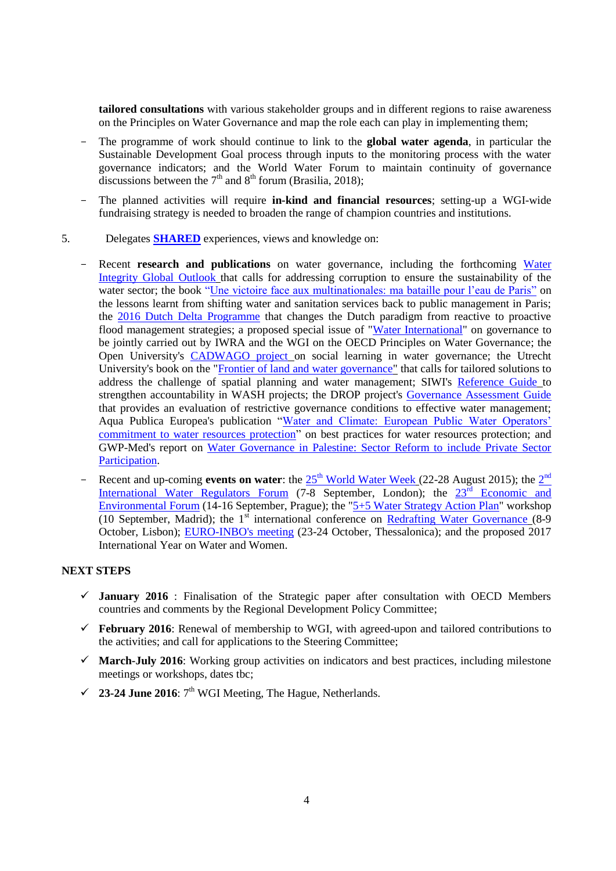**tailored consultations** with various stakeholder groups and in different regions to raise awareness on the Principles on Water Governance and map the role each can play in implementing them;

- The programme of work should continue to link to the **global water agenda**, in particular the Sustainable Development Goal process through inputs to the monitoring process with the water governance indicators; and the World Water Forum to maintain continuity of governance discussions between the  $7<sup>th</sup>$  and  $8<sup>th</sup>$  forum (Brasilia, 2018);
- The planned activities will require **in-kind and financial resources**; setting-up a WGI-wide fundraising strategy is needed to broaden the range of champion countries and institutions.
- 5. Delegates **SHARED** experiences, views and knowledge on:
	- Recent **research and publications** on water governance, including the forthcoming Water [Integrity Global Outlook](http://programme.worldwaterweek.org/event/4430) that calls for addressing corruption to ensure the sustainability of the water sector; the book ["Une victoire face aux multinationales: ma bataille pour l'eau de Paris"](http://www.lespetitsmatins.fr/collections/une-victoire-contre-les-multinationales-ma-bataille-pour-leau-de-paris/) on the lessons learnt from shifting water and sanitation services back to public management in Paris; the [2016 Dutch Delta Programme](http://english.deltacommissaris.nl/delta-programme/contents/delta-programme-2016) that changes the Dutch paradigm from reactive to proactive flood management strategies; a proposed special issue of ["Water International"](http://www.iwra.org/index.php?page=155) on governance to be jointly carried out by IWRA and the WGI on the OECD Principles on Water Governance; the Open University's [CADWAGO project](http://www.cadwago.net/) on social learning in water governance; the Utrecht University's book on the ["Frontier of land and water governance"](http://www.amazon.com/Frontiers-Governance-Regions-Routledge-Special/dp/1138911151) that calls for tailored solutions to address the challenge of spatial planning and water management; SIWI's [Reference Guide](http://watergovernance.org/resources/accountability-in-wash-a-reference-guide-for-programming/) to strengthen accountability in WASH projects; the DROP project's [Governance Assessment Guide](https://www.google.fr/url?sa=t&rct=j&q=&esrc=s&source=web&cd=1&ved=0ahUKEwjEuKjwr67JAhWC0RoKHcmqAE0QFggmMAA&url=https%3A%2F%2Fwww.utwente.nl%2F.system%2Fdl%2Fec~AQLL2xEADpM2AwM6CwA8DdkCOohG%2FDROP_Governance_Assesment_Guide_web.pdf%3Fwhs-download%3DDROP_Governance_Assesment_Guide_web.pdf&usg=AFQjCNEnjgfgZjPM5sFiyT2VbUbQKyWfaA&sig2=-xi59RJEvhGxF2DdXnZ9xQ&cad=rja) that provides an evaluation of restrictive governance conditions to effective water management; Aqua Publica Europea's publication ["Water and Climate: European Public Water Operators'](http://www.aquapublica.eu/IMG/pdf/water_and_climate-en-19-10-2015.pdf)  [commitment to water resources protection"](http://www.aquapublica.eu/IMG/pdf/water_and_climate-en-19-10-2015.pdf) on best practices for water resources protection; and GWP-Med's report on [Water Governance in Palestine: Sector Reform to include Private Sector](http://www.gwp.org/Global/GWP-Med%20Files/Governance-Microsite/Resources/GovFin_Palestine%20Dialogue_Final%20Report.pdf)  [Participation.](http://www.gwp.org/Global/GWP-Med%20Files/Governance-Microsite/Resources/GovFin_Palestine%20Dialogue_Final%20Report.pdf)
	- Recent and up-coming **events on water**: the  $25<sup>th</sup>$  [World Water Week](http://www.worldwaterweek.org/) (22-28 August [2](http://www.iwa-network.org/iwrf)015); the  $2<sup>nd</sup>$ [International Water Regulators Forum](http://www.iwa-network.org/iwrf) (7-8 September, London); the  $23^{\overline{rd}}$  Economic and [Environmental Forum](http://www.osce.org/event/23rd_eef_2015) (14-16 September, Prague); the ["5+5 Water Strategy Action Plan"](http://www.emwis.org/thematicdirs/events/2014/02/5-5-water-strategy-western-mediterranean.-1sr-workshop) workshop (10 September, Madrid); the  $1<sup>st</sup>$  international conference on [Redrafting Water Governance](http://elainegregorio.wix.com/h2ogovernance) (8-9) October, Lisbon); [EURO-INBO's meeting](http://www.inbo-news.org/inbo/agenda/article/europe-inbo-2015) (23-24 October, Thessalonica); and the proposed 2017 International Year on Water and Women.

## <span id="page-3-0"></span>**NEXT STEPS**

- **January 2016** : Finalisation of the Strategic paper after consultation with OECD Members countries and comments by the Regional Development Policy Committee;
- **February 2016**: Renewal of membership to WGI, with agreed-upon and tailored contributions to the activities; and call for applications to the Steering Committee;
- **March-July 2016**: Working group activities on indicators and best practices, including milestone meetings or workshops, dates tbc;
- $\checkmark$  23-24 June 2016:  $7<sup>th</sup>$  WGI Meeting, The Hague, Netherlands.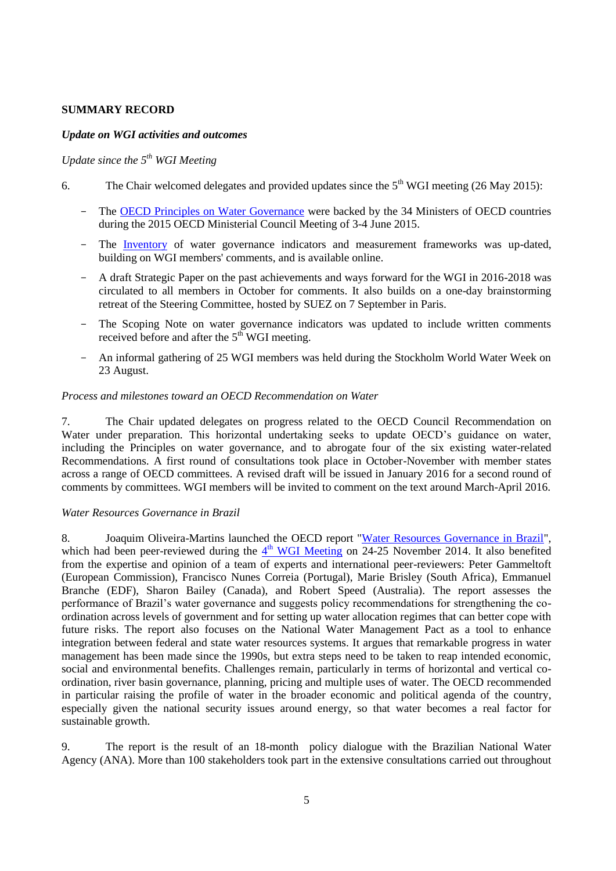## <span id="page-4-0"></span>**SUMMARY RECORD**

## <span id="page-4-1"></span>*Update on WGI activities and outcomes*

## <span id="page-4-2"></span>*Update since the 5th WGI Meeting*

- 6. The Chair welcomed delegates and provided updates since the  $5<sup>th</sup>$  WGI meeting (26 May 2015):
	- The [OECD Principles on Water Governance](http://www.oecd.org/governance/oecd-principles-on-water-governance.htm) were backed by the 34 Ministers of OECD countries during the 2015 OECD Ministerial Council Meeting of 3-4 June 2015.
	- The [Inventory](http://www.oecd.org/gov/regional-policy/Inventory_Indicators.pdf) of water governance indicators and measurement frameworks was up-dated, building on WGI members' comments, and is available online.
	- A draft Strategic Paper on the past achievements and ways forward for the WGI in 2016-2018 was circulated to all members in October for comments. It also builds on a one-day brainstorming retreat of the Steering Committee, hosted by SUEZ on 7 September in Paris.
	- The Scoping Note on water governance indicators was updated to include written comments received before and after the  $5<sup>th</sup>$  WGI meeting.
	- An informal gathering of 25 WGI members was held during the Stockholm World Water Week on 23 August.

### <span id="page-4-3"></span>*Process and milestones toward an OECD Recommendation on Water*

7. The Chair updated delegates on progress related to the OECD Council Recommendation on Water under preparation. This horizontal undertaking seeks to update OECD's guidance on water, including the Principles on water governance, and to abrogate four of the six existing water-related Recommendations. A first round of consultations took place in October-November with member states across a range of OECD committees. A revised draft will be issued in January 2016 for a second round of comments by committees. WGI members will be invited to comment on the text around March-April 2016.

#### <span id="page-4-4"></span>*Water Resources Governance in Brazil*

8. Joaquim Oliveira-Martins launched the OECD report ["Water Resources Governance in Brazil"](http://www.oecd.org/governance/regional-policy/water-resources-governance-in-brazil-9789264238121-en.htm), which had been peer-reviewed during the  $4<sup>th</sup>$  [WGI Meeting](http://www.oecd.org/gov/regional-policy/OECD-WGI-4th-Meeting-Highlights.pdf) on 24-25 November 2014. It also benefited from the expertise and opinion of a team of experts and international peer-reviewers: Peter Gammeltoft (European Commission), Francisco Nunes Correia (Portugal), Marie Brisley (South Africa), Emmanuel Branche (EDF), Sharon Bailey (Canada), and Robert Speed (Australia). The report assesses the performance of Brazil's water governance and suggests policy recommendations for strengthening the coordination across levels of government and for setting up water allocation regimes that can better cope with future risks. The report also focuses on the National Water Management Pact as a tool to enhance integration between federal and state water resources systems. It argues that remarkable progress in water management has been made since the 1990s, but extra steps need to be taken to reap intended economic, social and environmental benefits. Challenges remain, particularly in terms of horizontal and vertical coordination, river basin governance, planning, pricing and multiple uses of water. The OECD recommended in particular raising the profile of water in the broader economic and political agenda of the country, especially given the national security issues around energy, so that water becomes a real factor for sustainable growth.

9. The report is the result of an 18-month policy dialogue with the Brazilian National Water Agency (ANA). More than 100 stakeholders took part in the extensive consultations carried out throughout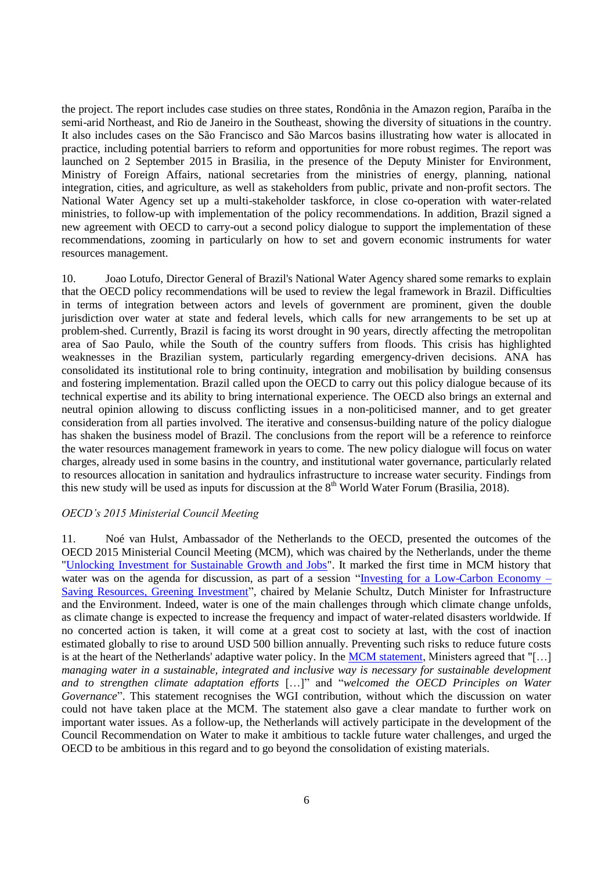the project. The report includes case studies on three states, Rondônia in the Amazon region, Paraíba in the semi-arid Northeast, and Rio de Janeiro in the Southeast, showing the diversity of situations in the country. It also includes cases on the São Francisco and São Marcos basins illustrating how water is allocated in practice, including potential barriers to reform and opportunities for more robust regimes. The report was launched on 2 September 2015 in Brasilia, in the presence of the Deputy Minister for Environment, Ministry of Foreign Affairs, national secretaries from the ministries of energy, planning, national integration, cities, and agriculture, as well as stakeholders from public, private and non-profit sectors. The National Water Agency set up a multi-stakeholder taskforce, in close co-operation with water-related ministries, to follow-up with implementation of the policy recommendations. In addition, Brazil signed a new agreement with OECD to carry-out a second policy dialogue to support the implementation of these recommendations, zooming in particularly on how to set and govern economic instruments for water resources management.

10. Joao Lotufo, Director General of Brazil's National Water Agency shared some remarks to explain that the OECD policy recommendations will be used to review the legal framework in Brazil. Difficulties in terms of integration between actors and levels of government are prominent, given the double jurisdiction over water at state and federal levels, which calls for new arrangements to be set up at problem-shed. Currently, Brazil is facing its worst drought in 90 years, directly affecting the metropolitan area of Sao Paulo, while the South of the country suffers from floods. This crisis has highlighted weaknesses in the Brazilian system, particularly regarding emergency-driven decisions. ANA has consolidated its institutional role to bring continuity, integration and mobilisation by building consensus and fostering implementation. Brazil called upon the OECD to carry out this policy dialogue because of its technical expertise and its ability to bring international experience. The OECD also brings an external and neutral opinion allowing to discuss conflicting issues in a non-politicised manner, and to get greater consideration from all parties involved. The iterative and consensus-building nature of the policy dialogue has shaken the business model of Brazil. The conclusions from the report will be a reference to reinforce the water resources management framework in years to come. The new policy dialogue will focus on water charges, already used in some basins in the country, and institutional water governance, particularly related to resources allocation in sanitation and hydraulics infrastructure to increase water security. Findings from this new study will be used as inputs for discussion at the  $8<sup>th</sup>$  World Water Forum (Brasilia, 2018).

#### <span id="page-5-0"></span>*OECD's 2015 Ministerial Council Meeting*

11. Noé van Hulst, Ambassador of the Netherlands to the OECD, presented the outcomes of the OECD 2015 Ministerial Council Meeting (MCM), which was chaired by the Netherlands, under the theme ["Unlocking Investment for Sustainable Growth and Jobs"](http://www.oecd.org/mcm/). It marked the first time in MCM history that water was on the agenda for discussion, as part of a session ["Investing for a Low-Carbon Economy –](http://www.oecd.org/mcm/documents/ministerial-meeting-2015-investing-for-a-low-carbon-economy.htm) [Saving Resources, Greening Investment"](http://www.oecd.org/mcm/documents/ministerial-meeting-2015-investing-for-a-low-carbon-economy.htm), chaired by Melanie Schultz, Dutch Minister for Infrastructure and the Environment. Indeed, water is one of the main challenges through which climate change unfolds, as climate change is expected to increase the frequency and impact of water-related disasters worldwide. If no concerted action is taken, it will come at a great cost to society at last, with the cost of inaction estimated globally to rise to around USD 500 billion annually. Preventing such risks to reduce future costs is at the heart of the Netherlands' adaptive water policy. In the [MCM statement,](http://www.oecd.org/mcm/documents/unlocking-investment-for-sustainable-growth-and-jobs-chair-summary.htm) Ministers agreed that "[...] *managing water in a sustainable, integrated and inclusive way is necessary for sustainable development and to strengthen climate adaptation efforts* […]" and "*welcomed the OECD Principles on Water Governance*". This statement recognises the WGI contribution, without which the discussion on water could not have taken place at the MCM. The statement also gave a clear mandate to further work on important water issues. As a follow-up, the Netherlands will actively participate in the development of the Council Recommendation on Water to make it ambitious to tackle future water challenges, and urged the OECD to be ambitious in this regard and to go beyond the consolidation of existing materials.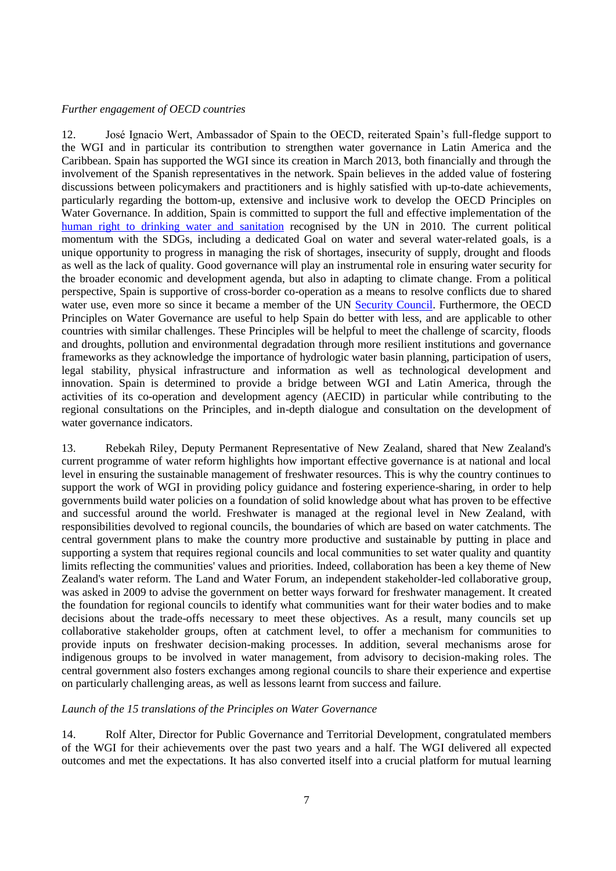#### <span id="page-6-0"></span>*Further engagement of OECD countries*

12. José Ignacio Wert, Ambassador of Spain to the OECD, reiterated Spain's full-fledge support to the WGI and in particular its contribution to strengthen water governance in Latin America and the Caribbean. Spain has supported the WGI since its creation in March 2013, both financially and through the involvement of the Spanish representatives in the network. Spain believes in the added value of fostering discussions between policymakers and practitioners and is highly satisfied with up-to-date achievements, particularly regarding the bottom-up, extensive and inclusive work to develop the OECD Principles on Water Governance. In addition, Spain is committed to support the full and effective implementation of the [human right to drinking water and sanitation](http://www.un.org/waterforlifedecade/human_right_to_water.shtml) recognised by the UN in 2010. The current political momentum with the SDGs, including a dedicated Goal on water and several water-related goals, is a unique opportunity to progress in managing the risk of shortages, insecurity of supply, drought and floods as well as the lack of quality. Good governance will play an instrumental role in ensuring water security for the broader economic and development agenda, but also in adapting to climate change. From a political perspective, Spain is supportive of cross-border co-operation as a means to resolve conflicts due to shared water use, even more so since it became a member of the UN [Security Council.](http://www.un.org/en/sc/) Furthermore, the OECD Principles on Water Governance are useful to help Spain do better with less, and are applicable to other countries with similar challenges. These Principles will be helpful to meet the challenge of scarcity, floods and droughts, pollution and environmental degradation through more resilient institutions and governance frameworks as they acknowledge the importance of hydrologic water basin planning, participation of users, legal stability, physical infrastructure and information as well as technological development and innovation. Spain is determined to provide a bridge between WGI and Latin America, through the activities of its co-operation and development agency (AECID) in particular while contributing to the regional consultations on the Principles, and in-depth dialogue and consultation on the development of water governance indicators.

13. Rebekah Riley, Deputy Permanent Representative of New Zealand, shared that New Zealand's current programme of water reform highlights how important effective governance is at national and local level in ensuring the sustainable management of freshwater resources. This is why the country continues to support the work of WGI in providing policy guidance and fostering experience-sharing, in order to help governments build water policies on a foundation of solid knowledge about what has proven to be effective and successful around the world. Freshwater is managed at the regional level in New Zealand, with responsibilities devolved to regional councils, the boundaries of which are based on water catchments. The central government plans to make the country more productive and sustainable by putting in place and supporting a system that requires regional councils and local communities to set water quality and quantity limits reflecting the communities' values and priorities. Indeed, collaboration has been a key theme of New Zealand's water reform. The Land and Water Forum, an independent stakeholder-led collaborative group, was asked in 2009 to advise the government on better ways forward for freshwater management. It created the foundation for regional councils to identify what communities want for their water bodies and to make decisions about the trade-offs necessary to meet these objectives. As a result, many councils set up collaborative stakeholder groups, often at catchment level, to offer a mechanism for communities to provide inputs on freshwater decision-making processes. In addition, several mechanisms arose for indigenous groups to be involved in water management, from advisory to decision-making roles. The central government also fosters exchanges among regional councils to share their experience and expertise on particularly challenging areas, as well as lessons learnt from success and failure.

#### <span id="page-6-1"></span>*Launch of the 15 translations of the Principles on Water Governance*

14. Rolf Alter, Director for Public Governance and Territorial Development, congratulated members of the WGI for their achievements over the past two years and a half. The WGI delivered all expected outcomes and met the expectations. It has also converted itself into a crucial platform for mutual learning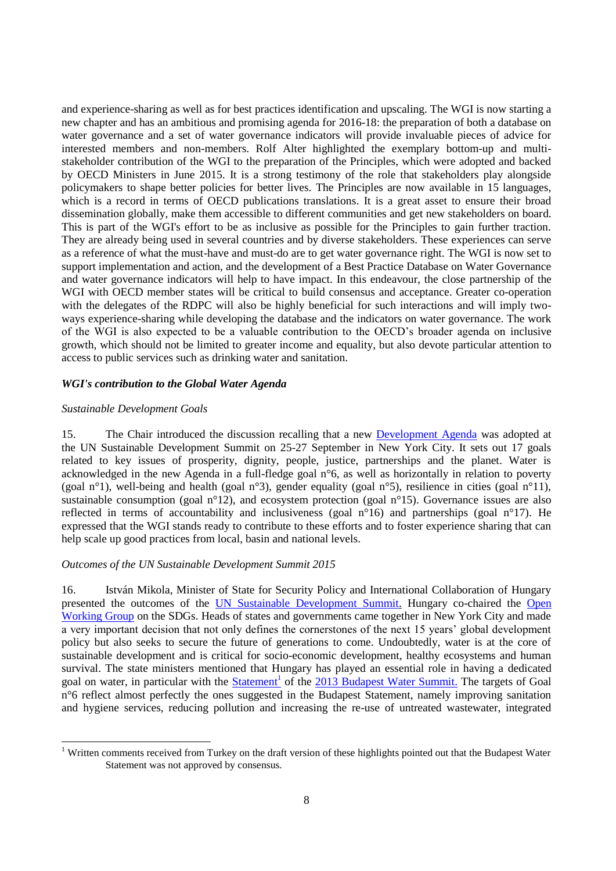and experience-sharing as well as for best practices identification and upscaling. The WGI is now starting a new chapter and has an ambitious and promising agenda for 2016-18: the preparation of both a database on water governance and a set of water governance indicators will provide invaluable pieces of advice for interested members and non-members. Rolf Alter highlighted the exemplary bottom-up and multistakeholder contribution of the WGI to the preparation of the Principles, which were adopted and backed by OECD Ministers in June 2015. It is a strong testimony of the role that stakeholders play alongside policymakers to shape better policies for better lives. The Principles are now available in 15 languages, which is a record in terms of OECD publications translations. It is a great asset to ensure their broad dissemination globally, make them accessible to different communities and get new stakeholders on board. This is part of the WGI's effort to be as inclusive as possible for the Principles to gain further traction. They are already being used in several countries and by diverse stakeholders. These experiences can serve as a reference of what the must-have and must-do are to get water governance right. The WGI is now set to support implementation and action, and the development of a Best Practice Database on Water Governance and water governance indicators will help to have impact. In this endeavour, the close partnership of the WGI with OECD member states will be critical to build consensus and acceptance. Greater co-operation with the delegates of the RDPC will also be highly beneficial for such interactions and will imply twoways experience-sharing while developing the database and the indicators on water governance. The work of the WGI is also expected to be a valuable contribution to the OECD's broader agenda on inclusive growth, which should not be limited to greater income and equality, but also devote particular attention to access to public services such as drinking water and sanitation.

### <span id="page-7-0"></span>*WGI's contribution to the Global Water Agenda*

### <span id="page-7-1"></span>*Sustainable Development Goals*

15. The Chair introduced the discussion recalling that a new [Development Agenda](http://www.un.org/sustainabledevelopment/sustainable-development-goals/) was adopted at the UN Sustainable Development Summit on 25-27 September in New York City. It sets out 17 goals related to key issues of prosperity, dignity, people, justice, partnerships and the planet. Water is acknowledged in the new Agenda in a full-fledge goal n°6, as well as horizontally in relation to poverty (goal n°1), well-being and health (goal n°3), gender equality (goal n°5), resilience in cities (goal n°11), sustainable consumption (goal n°12), and ecosystem protection (goal n°15). Governance issues are also reflected in terms of accountability and inclusiveness (goal n°16) and partnerships (goal n°17). He expressed that the WGI stands ready to contribute to these efforts and to foster experience sharing that can help scale up good practices from local, basin and national levels.

## *Outcomes of the UN Sustainable Development Summit 2015*

16. István Mikola, Minister of State for Security Policy and International Collaboration of Hungary presented the outcomes of the [UN Sustainable Development Summit.](http://www.un.org/sustainabledevelopment/summit/) Hungary co-chaired the [Open](https://sustainabledevelopment.un.org/owg.html)  [Working Group](https://sustainabledevelopment.un.org/owg.html) on the SDGs. Heads of states and governments came together in New York City and made a very important decision that not only defines the cornerstones of the next 15 years' global development policy but also seeks to secure the future of generations to come. Undoubtedly, water is at the core of sustainable development and is critical for socio-economic development, healthy ecosystems and human survival. The state ministers mentioned that Hungary has played an essential role in having a dedicated goal on water, in particular with the **Statement** of the [2013 Budapest Water Summit.](http://www.budapestwatersummit.hu/) The targets of Goal n°6 reflect almost perfectly the ones suggested in the Budapest Statement, namely improving sanitation and hygiene services, reducing pollution and increasing the re-use of untreated wastewater, integrated

<sup>&</sup>lt;sup>1</sup> Written comments received from Turkey on the draft version of these highlights pointed out that the Budapest Water Statement was not approved by consensus.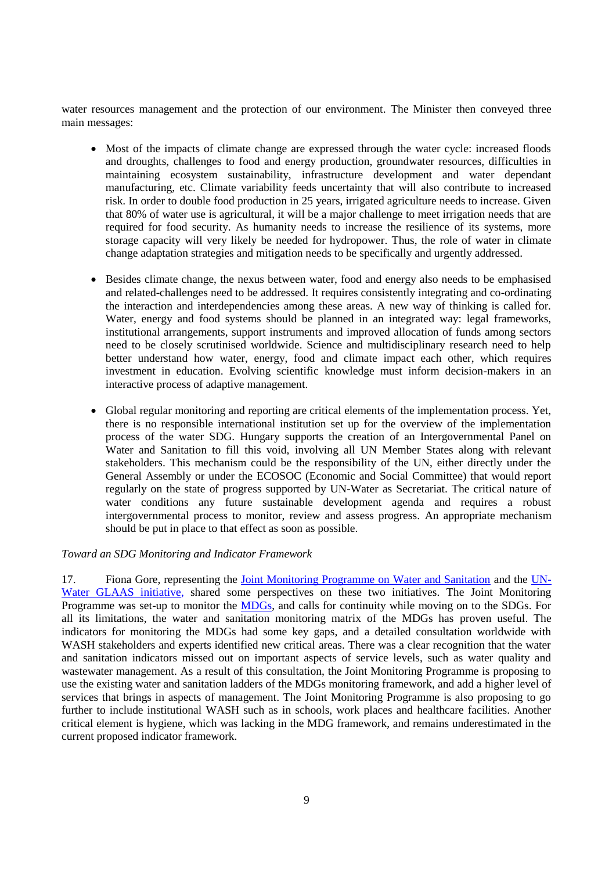water resources management and the protection of our environment. The Minister then conveyed three main messages:

- Most of the impacts of climate change are expressed through the water cycle: increased floods and droughts, challenges to food and energy production, groundwater resources, difficulties in maintaining ecosystem sustainability, infrastructure development and water dependant manufacturing, etc. Climate variability feeds uncertainty that will also contribute to increased risk. In order to double food production in 25 years, irrigated agriculture needs to increase. Given that 80% of water use is agricultural, it will be a major challenge to meet irrigation needs that are required for food security. As humanity needs to increase the resilience of its systems, more storage capacity will very likely be needed for hydropower. Thus, the role of water in climate change adaptation strategies and mitigation needs to be specifically and urgently addressed.
- Besides climate change, the nexus between water, food and energy also needs to be emphasised and related-challenges need to be addressed. It requires consistently integrating and co-ordinating the interaction and interdependencies among these areas. A new way of thinking is called for. Water, energy and food systems should be planned in an integrated way: legal frameworks, institutional arrangements, support instruments and improved allocation of funds among sectors need to be closely scrutinised worldwide. Science and multidisciplinary research need to help better understand how water, energy, food and climate impact each other, which requires investment in education. Evolving scientific knowledge must inform decision-makers in an interactive process of adaptive management.
- Global regular monitoring and reporting are critical elements of the implementation process. Yet, there is no responsible international institution set up for the overview of the implementation process of the water SDG. Hungary supports the creation of an Intergovernmental Panel on Water and Sanitation to fill this void, involving all UN Member States along with relevant stakeholders. This mechanism could be the responsibility of the UN, either directly under the General Assembly or under the [ECOSOC](http://www.un.org/en/ecosoc/) (Economic and Social Committee) that would report regularly on the state of progress supported by UN-Water as Secretariat. The critical nature of water conditions any future sustainable development agenda and requires a robust intergovernmental process to monitor, review and assess progress. An appropriate mechanism should be put in place to that effect as soon as possible.

#### *Toward an SDG Monitoring and Indicator Framework*

17. Fiona Gore, representing the [Joint Monitoring Programme on Water and Sanitation](http://www.wssinfo.org/) and the [UN-](http://www.unwater.org/publications/glaas/en/)[Water GLAAS initiative,](http://www.unwater.org/publications/glaas/en/) shared some perspectives on these two initiatives. The Joint Monitoring Programme was set-up to monitor the [MDGs,](http://www.un.org/millenniumgoals/) and calls for continuity while moving on to the SDGs. For all its limitations, the water and sanitation monitoring matrix of the MDGs has proven useful. The indicators for monitoring the MDGs had some key gaps, and a detailed consultation worldwide with WASH stakeholders and experts identified new critical areas. There was a clear recognition that the water and sanitation indicators missed out on important aspects of service levels, such as water quality and wastewater management. As a result of this consultation, the Joint Monitoring Programme is proposing to use the existing water and sanitation ladders of the MDGs monitoring framework, and add a higher level of services that brings in aspects of management. The Joint Monitoring Programme is also proposing to go further to include institutional WASH such as in schools, work places and healthcare facilities. Another critical element is hygiene, which was lacking in the MDG framework, and remains underestimated in the current proposed indicator framework.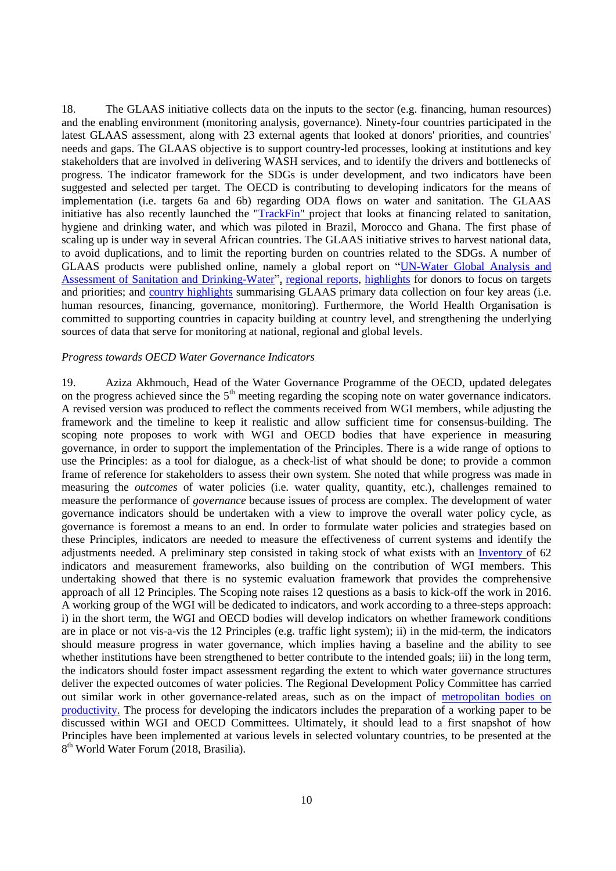18. The GLAAS initiative collects data on the inputs to the sector (e.g. financing, human resources) and the enabling environment (monitoring analysis, governance). Ninety-four countries participated in the latest GLAAS assessment, along with 23 external agents that looked at donors' priorities, and countries' needs and gaps. The GLAAS objective is to support country-led processes, looking at institutions and key stakeholders that are involved in delivering WASH services, and to identify the drivers and bottlenecks of progress. The indicator framework for the SDGs is under development, and two indicators have been suggested and selected per target. The OECD is contributing to developing indicators for the means of implementation (i.e. targets 6a and 6b) regarding ODA flows on water and sanitation. The GLAAS initiative has also recently launched the ["TrackFin"](http://www.who.int/water_sanitation_health/glaas/en/) project that looks at financing related to sanitation, hygiene and drinking water, and which was piloted in Brazil, Morocco and Ghana. The first phase of scaling up is under way in several African countries. The GLAAS initiative strives to harvest national data, to avoid duplications, and to limit the reporting burden on countries related to the SDGs. A number of GLAAS products were published online, namely a global report on ["UN-Water Global Analysis and](http://www.unwater.org/publications/publications-detail/en/c/204405/)  [Assessment of Sanitation and Drinking-Water"](http://www.unwater.org/publications/publications-detail/en/c/204405/), [regional reports, highlights](http://www.who.int/water_sanitation_health/glaas/2014/en/) for donors to focus on targets and priorities; and [country highlights](http://www.who.int/water_sanitation_health/glaas/2014/country-highlights/en/) summarising GLAAS primary data collection on four key areas (i.e. human resources, financing, governance, monitoring). Furthermore, the World Health Organisation is committed to supporting countries in capacity building at country level, and strengthening the underlying sources of data that serve for monitoring at national, regional and global levels.

#### *Progress towards OECD Water Governance Indicators*

19. Aziza Akhmouch, Head of the Water Governance Programme of the OECD, updated delegates on the progress achieved since the  $5<sup>th</sup>$  meeting regarding the scoping note on water governance indicators. A revised version was produced to reflect the comments received from WGI members, while adjusting the framework and the timeline to keep it realistic and allow sufficient time for consensus-building. The scoping note proposes to work with WGI and OECD bodies that have experience in measuring governance, in order to support the implementation of the Principles. There is a wide range of options to use the Principles: as a tool for dialogue, as a check-list of what should be done; to provide a common frame of reference for stakeholders to assess their own system. She noted that while progress was made in measuring the *outcomes* of water policies (i.e. water quality, quantity, etc.), challenges remained to measure the performance of *governance* because issues of process are complex. The development of water governance indicators should be undertaken with a view to improve the overall water policy cycle, as governance is foremost a means to an end. In order to formulate water policies and strategies based on these Principles, indicators are needed to measure the effectiveness of current systems and identify the adjustments needed. A preliminary step consisted in taking stock of what exists with an [Inventory](http://www.oecd.org/gov/regional-policy/Inventory_Indicators.pdf) of 62 indicators and measurement frameworks, also building on the contribution of WGI members. This undertaking showed that there is no systemic evaluation framework that provides the comprehensive approach of all 12 Principles. The Scoping note raises 12 questions as a basis to kick-off the work in 2016. A working group of the WGI will be dedicated to indicators, and work according to a three-steps approach: i) in the short term, the WGI and OECD bodies will develop indicators on whether framework conditions are in place or not vis-a-vis the 12 Principles (e.g. traffic light system); ii) in the mid-term, the indicators should measure progress in water governance, which implies having a baseline and the ability to see whether institutions have been strengthened to better contribute to the intended goals; iii) in the long term, the indicators should foster impact assessment regarding the extent to which water governance structures deliver the expected outcomes of water policies. The Regional Development Policy Committee has carried out similar work in other governance-related areas, such as on the impact of [metropolitan bodies on](http://www.oecd.org/regional/regional-policy/the-metropolitan-century-9789264228733-en.htm)  [productivity.](http://www.oecd.org/regional/regional-policy/the-metropolitan-century-9789264228733-en.htm) The process for developing the indicators includes the preparation of a working paper to be discussed within WGI and OECD Committees. Ultimately, it should lead to a first snapshot of how Principles have been implemented at various levels in selected voluntary countries, to be presented at the 8<sup>th</sup> World Water Forum (2018, Brasilia).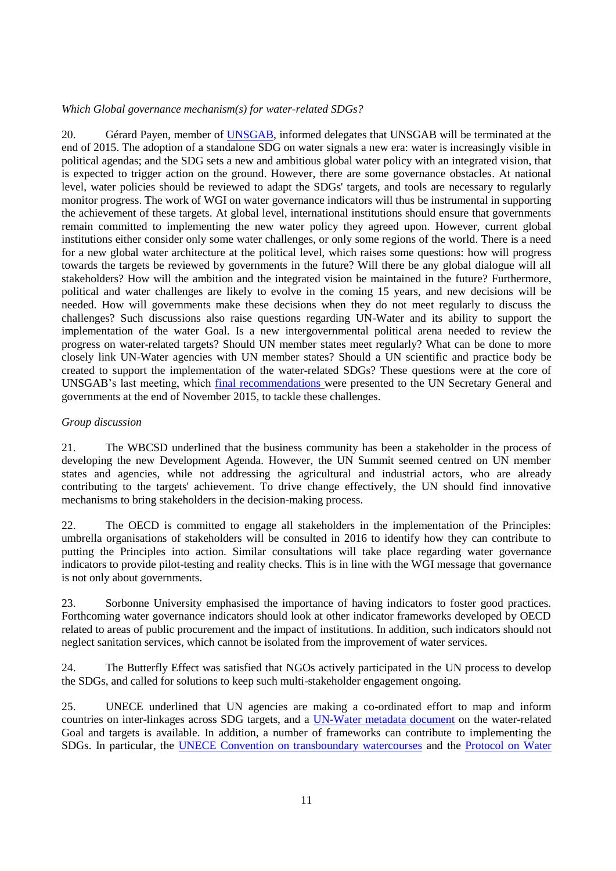### *Which Global governance mechanism(s) for water-related SDGs?*

20. Gérard Payen, member of [UNSGAB,](https://sustainabledevelopment.un.org/topics/water/unsgab) informed delegates that UNSGAB will be terminated at the end of 2015. The adoption of a standalone SDG on water signals a new era: water is increasingly visible in political agendas; and the SDG sets a new and ambitious global water policy with an integrated vision, that is expected to trigger action on the ground. However, there are some governance obstacles. At national level, water policies should be reviewed to adapt the SDGs' targets, and tools are necessary to regularly monitor progress. The work of WGI on water governance indicators will thus be instrumental in supporting the achievement of these targets. At global level, international institutions should ensure that governments remain committed to implementing the new water policy they agreed upon. However, current global institutions either consider only some water challenges, or only some regions of the world. There is a need for a new global water architecture at the political level, which raises some questions: how will progress towards the targets be reviewed by governments in the future? Will there be any global dialogue will all stakeholders? How will the ambition and the integrated vision be maintained in the future? Furthermore, political and water challenges are likely to evolve in the coming 15 years, and new decisions will be needed. How will governments make these decisions when they do not meet regularly to discuss the challenges? Such discussions also raise questions regarding UN-Water and its ability to support the implementation of the water Goal. Is a new intergovernmental political arena needed to review the progress on water-related targets? Should UN member states meet regularly? What can be done to more closely link UN-Water agencies with UN member states? Should a UN scientific and practice body be created to support the implementation of the water-related SDGs? These questions were at the core of UNSGAB's last meeting, which [final recommendations](https://sustainabledevelopment.un.org/content/documents/8701unsgab-journey-web.pdf) were presented to the UN Secretary General and governments at the end of November 2015, to tackle these challenges.

### <span id="page-10-0"></span>*Group discussion*

21. The WBCSD underlined that the business community has been a stakeholder in the process of developing the new Development Agenda. However, the UN Summit seemed centred on UN member states and agencies, while not addressing the agricultural and industrial actors, who are already contributing to the targets' achievement. To drive change effectively, the UN should find innovative mechanisms to bring stakeholders in the decision-making process.

22. The OECD is committed to engage all stakeholders in the implementation of the Principles: umbrella organisations of stakeholders will be consulted in 2016 to identify how they can contribute to putting the Principles into action. Similar consultations will take place regarding water governance indicators to provide pilot-testing and reality checks. This is in line with the WGI message that governance is not only about governments.

23. Sorbonne University emphasised the importance of having indicators to foster good practices. Forthcoming water governance indicators should look at other indicator frameworks developed by OECD related to areas of public procurement and the impact of institutions. In addition, such indicators should not neglect sanitation services, which cannot be isolated from the improvement of water services.

24. The Butterfly Effect was satisfied that NGOs actively participated in the UN process to develop the SDGs, and called for solutions to keep such multi-stakeholder engagement ongoing.

25. UNECE underlined that UN agencies are making a co-ordinated effort to map and inform countries on inter-linkages across SDG targets, and a [UN-Water metadata document](http://www.unwater.org/publications/publications-detail/en/c/296330/) on the water-related Goal and targets is available. In addition, a number of frameworks can contribute to implementing the SDGs. In particular, the [UNECE Convention on transboundary watercourses](http://www.unece.org/env/water/text/text.html) and the [Protocol on](http://www.unece.org/env/water/pwh_text/text_protocol.html) Water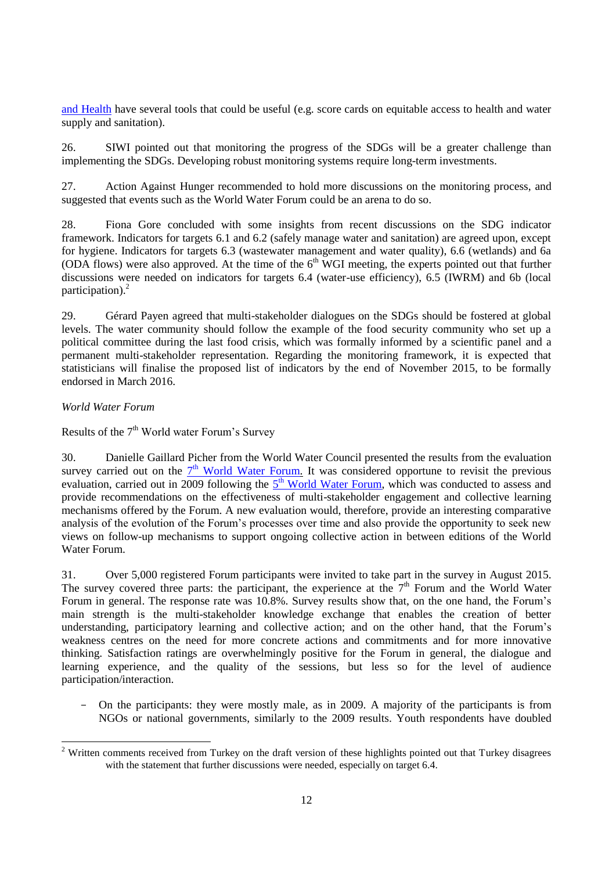[and Health](http://www.unece.org/env/water/pwh_text/text_protocol.html) have several tools that could be useful (e.g. score cards on equitable access to health and water supply and sanitation).

26. SIWI pointed out that monitoring the progress of the SDGs will be a greater challenge than implementing the SDGs. Developing robust monitoring systems require long-term investments.

27. Action Against Hunger recommended to hold more discussions on the monitoring process, and suggested that events such as the World Water Forum could be an arena to do so.

28. Fiona Gore concluded with some insights from recent discussions on the SDG indicator framework. Indicators for targets 6.1 and 6.2 (safely manage water and sanitation) are agreed upon, except for hygiene. Indicators for targets 6.3 (wastewater management and water quality), 6.6 (wetlands) and 6a (ODA flows) were also approved. At the time of the  $6<sup>th</sup>$  WGI meeting, the experts pointed out that further discussions were needed on indicators for targets 6.4 (water-use efficiency), 6.5 (IWRM) and 6b (local participation).<sup>2</sup>

29. Gérard Payen agreed that multi-stakeholder dialogues on the SDGs should be fostered at global levels. The water community should follow the example of the food security community who set up a political committee during the last food crisis, which was formally informed by a scientific panel and a permanent multi-stakeholder representation. Regarding the monitoring framework, it is expected that statisticians will finalise the proposed list of indicators by the end of November 2015, to be formally endorsed in March 2016.

## <span id="page-11-0"></span>*World Water Forum*

Results of the  $7<sup>th</sup>$  World water Forum's Survey

30. Danielle Gaillard Picher from the World Water Council presented the results from the evaluation survey carried out on the  $7<sup>th</sup>$  [World Water Forum.](http://eng.worldwaterforum7.org/main/) It was considered opportune to revisit the previous evaluation, carried out in 2009 following the  $5<sup>th</sup>$  [World Water Forum,](http://www.worldwatercouncil.org/fr/forum/istanbul-2009/) which was conducted to assess and provide recommendations on the effectiveness of multi-stakeholder engagement and collective learning mechanisms offered by the Forum. A new evaluation would, therefore, provide an interesting comparative analysis of the evolution of the Forum's processes over time and also provide the opportunity to seek new views on follow-up mechanisms to support ongoing collective action in between editions of the World Water Forum.

31. Over 5,000 registered Forum participants were invited to take part in the survey in August 2015. The survey covered three parts: the participant, the experience at the  $7<sup>th</sup>$  Forum and the World Water Forum in general. The response rate was 10.8%. Survey results show that, on the one hand, the Forum's main strength is the multi-stakeholder knowledge exchange that enables the creation of better understanding, participatory learning and collective action; and on the other hand, that the Forum's weakness centres on the need for more concrete actions and commitments and for more innovative thinking. Satisfaction ratings are overwhelmingly positive for the Forum in general, the dialogue and learning experience, and the quality of the sessions, but less so for the level of audience participation/interaction.

- On the participants: they were mostly male, as in 2009. A majority of the participants is from NGOs or national governments, similarly to the 2009 results. Youth respondents have doubled

 $2$  Written comments received from Turkey on the draft version of these highlights pointed out that Turkey disagrees with the statement that further discussions were needed, especially on target 6.4.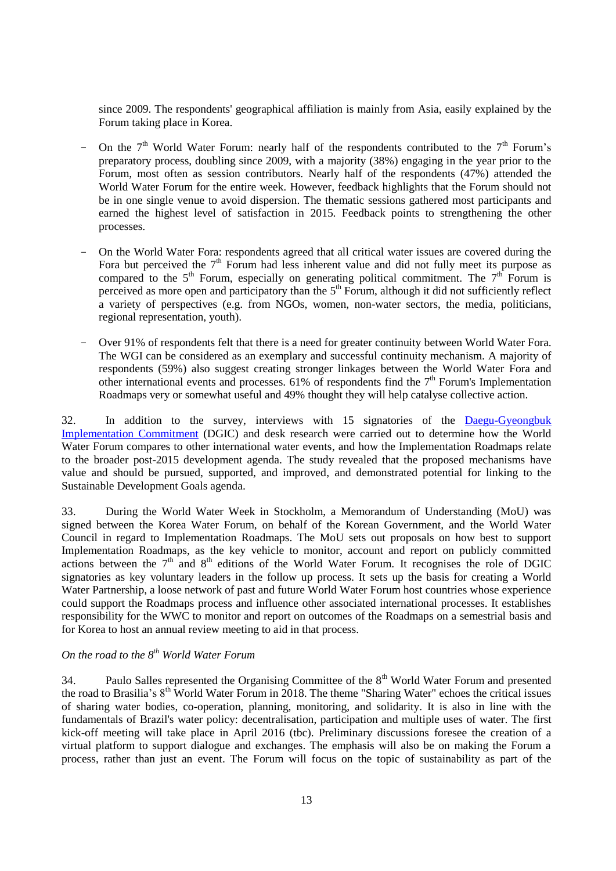since 2009. The respondents' geographical affiliation is mainly from Asia, easily explained by the Forum taking place in Korea.

- On the  $7<sup>th</sup>$  World Water Forum: nearly half of the respondents contributed to the  $7<sup>th</sup>$  Forum's preparatory process, doubling since 2009, with a majority (38%) engaging in the year prior to the Forum, most often as session contributors. Nearly half of the respondents (47%) attended the World Water Forum for the entire week. However, feedback highlights that the Forum should not be in one single venue to avoid dispersion. The thematic sessions gathered most participants and earned the highest level of satisfaction in 2015. Feedback points to strengthening the other processes.
- On the World Water Fora: respondents agreed that all critical water issues are covered during the Fora but perceived the  $7<sup>th</sup>$  Forum had less inherent value and did not fully meet its purpose as compared to the  $5<sup>th</sup>$  Forum, especially on generating political commitment. The  $7<sup>th</sup>$  Forum is perceived as more open and participatory than the  $5<sup>th</sup>$  Forum, although it did not sufficiently reflect a variety of perspectives (e.g. from NGOs, women, non-water sectors, the media, politicians, regional representation, youth).
- Over 91% of respondents felt that there is a need for greater continuity between World Water Fora. The WGI can be considered as an exemplary and successful continuity mechanism. A majority of respondents (59%) also suggest creating stronger linkages between the World Water Fora and other international events and processes.  $61\%$  of respondents find the  $7<sup>th</sup>$  Forum's Implementation Roadmaps very or somewhat useful and 49% thought they will help catalyse collective action.

32. In addition to the survey, interviews with 15 signatories of the [Daegu-Gyeongbuk](http://www.oecd.org/gov/regional-policy/DGIC-7WWF.pdf)  [Implementation Commitment](http://www.oecd.org/gov/regional-policy/DGIC-7WWF.pdf) (DGIC) and desk research were carried out to determine how the World Water Forum compares to other international water events, and how the Implementation Roadmaps relate to the broader post-2015 development agenda. The study revealed that the proposed mechanisms have value and should be pursued, supported, and improved, and demonstrated potential for linking to the Sustainable Development Goals agenda.

33. During the World Water Week in Stockholm, a Memorandum of Understanding (MoU) was signed between the Korea Water Forum, on behalf of the Korean Government, and the World Water Council in regard to Implementation Roadmaps. The MoU sets out proposals on how best to support Implementation Roadmaps, as the key vehicle to monitor, account and report on publicly committed actions between the  $7<sup>th</sup>$  and  $8<sup>th</sup>$  editions of the World Water Forum. It recognises the role of DGIC signatories as key voluntary leaders in the follow up process. It sets up the basis for creating a World Water Partnership, a loose network of past and future World Water Forum host countries whose experience could support the Roadmaps process and influence other associated international processes. It establishes responsibility for the WWC to monitor and report on outcomes of the Roadmaps on a semestrial basis and for Korea to host an annual review meeting to aid in that process.

# *On the road to the 8th World Water Forum*

34. Paulo Salles represented the Organising Committee of the 8<sup>th</sup> World Water Forum and presented the road to Brasilia's  $8<sup>th</sup>$  World Water Forum in 2018. The theme "Sharing Water" echoes the critical issues of sharing water bodies, co-operation, planning, monitoring, and solidarity. It is also in line with the fundamentals of Brazil's water policy: decentralisation, participation and multiple uses of water. The first kick-off meeting will take place in April 2016 (tbc). Preliminary discussions foresee the creation of a virtual platform to support dialogue and exchanges. The emphasis will also be on making the Forum a process, rather than just an event. The Forum will focus on the topic of sustainability as part of the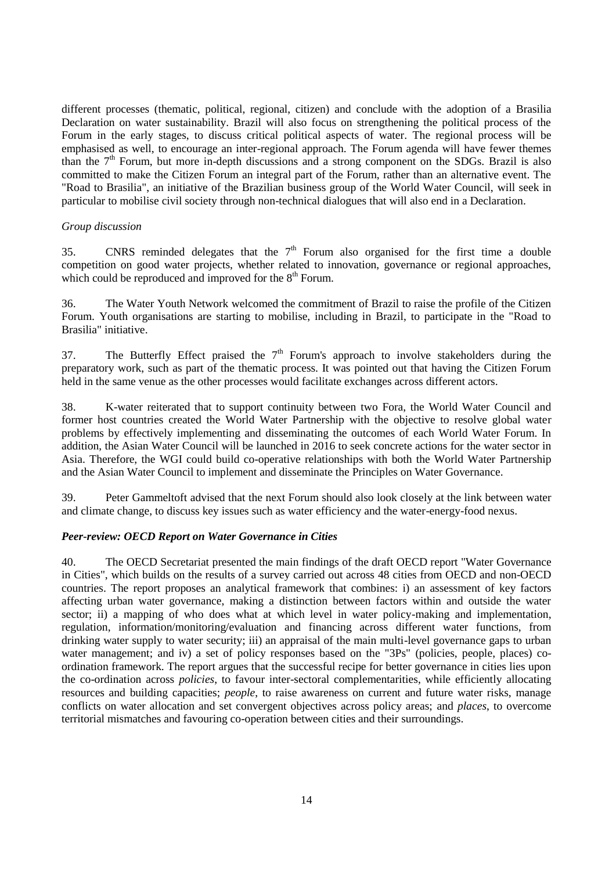different processes (thematic, political, regional, citizen) and conclude with the adoption of a Brasilia Declaration on water sustainability. Brazil will also focus on strengthening the political process of the Forum in the early stages, to discuss critical political aspects of water. The regional process will be emphasised as well, to encourage an inter-regional approach. The Forum agenda will have fewer themes than the  $7<sup>th</sup>$  Forum, but more in-depth discussions and a strong component on the SDGs. Brazil is also committed to make the Citizen Forum an integral part of the Forum, rather than an alternative event. The "Road to Brasilia", an initiative of the Brazilian business group of the World Water Council, will seek in particular to mobilise civil society through non-technical dialogues that will also end in a Declaration.

#### <span id="page-13-0"></span>*Group discussion*

35. CNRS reminded delegates that the  $7<sup>th</sup>$  Forum also organised for the first time a double competition on good water projects, whether related to innovation, governance or regional approaches, which could be reproduced and improved for the  $8<sup>th</sup>$  Forum.

36. The Water Youth Network welcomed the commitment of Brazil to raise the profile of the Citizen Forum. Youth organisations are starting to mobilise, including in Brazil, to participate in the "Road to Brasilia" initiative.

37. The Butterfly Effect praised the  $7<sup>th</sup>$  Forum's approach to involve stakeholders during the preparatory work, such as part of the thematic process. It was pointed out that having the Citizen Forum held in the same venue as the other processes would facilitate exchanges across different actors.

38. K-water reiterated that to support continuity between two Fora, the World Water Council and former host countries created the World Water Partnership with the objective to resolve global water problems by effectively implementing and disseminating the outcomes of each World Water Forum. In addition, the Asian Water Council will be launched in 2016 to seek concrete actions for the water sector in Asia. Therefore, the WGI could build co-operative relationships with both the World Water Partnership and the Asian Water Council to implement and disseminate the Principles on Water Governance.

39. Peter Gammeltoft advised that the next Forum should also look closely at the link between water and climate change, to discuss key issues such as water efficiency and the water-energy-food nexus.

## <span id="page-13-1"></span>*Peer-review: OECD Report on Water Governance in Cities*

40. The OECD Secretariat presented the main findings of the draft OECD report "Water Governance in Cities", which builds on the results of a survey carried out across 48 cities from OECD and non-OECD countries. The report proposes an analytical framework that combines: i) an assessment of key factors affecting urban water governance, making a distinction between factors within and outside the water sector; ii) a mapping of who does what at which level in water policy-making and implementation, regulation, information/monitoring/evaluation and financing across different water functions, from drinking water supply to water security; iii) an appraisal of the main multi-level governance gaps to urban water management; and iv) a set of policy responses based on the "3Ps" (policies, people, places) coordination framework. The report argues that the successful recipe for better governance in cities lies upon the co-ordination across *policies*, to favour inter-sectoral complementarities, while efficiently allocating resources and building capacities; *people*, to raise awareness on current and future water risks, manage conflicts on water allocation and set convergent objectives across policy areas; and *places*, to overcome territorial mismatches and favouring co-operation between cities and their surroundings.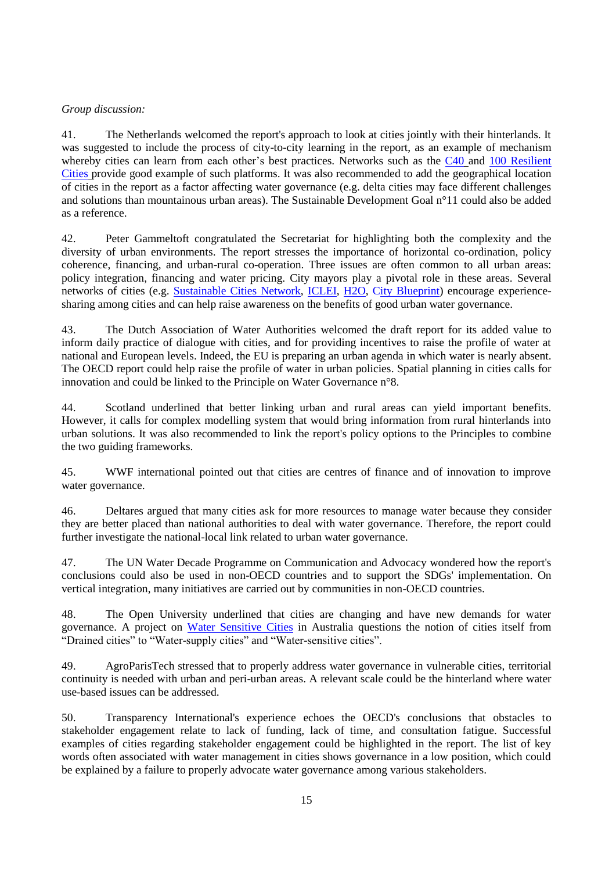## <span id="page-14-0"></span>*Group discussion:*

41. The Netherlands welcomed the report's approach to look at cities jointly with their hinterlands. It was suggested to include the process of city-to-city learning in the report, as an example of mechanism whereby cities can learn from each other's best practices. Networks such as the [C40](http://www.c40.org/) and 100 Resilient [Cities](http://www.100resilientcities.org/) provide good example of such platforms. It was also recommended to add the geographical location of cities in the report as a factor affecting water governance (e.g. delta cities may face different challenges and solutions than mountainous urban areas). The Sustainable Development Goal n°11 could also be added as a reference.

42. Peter Gammeltoft congratulated the Secretariat for highlighting both the complexity and the diversity of urban environments. The report stresses the importance of horizontal co-ordination, policy coherence, financing, and urban-rural co-operation. Three issues are often common to all urban areas: policy integration, financing and water pricing. City mayors play a pivotal role in these areas. Several networks of cities (e.g. [Sustainable Cities Network,](http://www.sustainablecitynetwork.com/) [ICLEI,](http://www.iclei.org/) [H2O,](http://www.netwerch2o.eu/) [City Blueprint\)](http://www.eip-water.eu/City_Blueprints) encourage experiencesharing among cities and can help raise awareness on the benefits of good urban water governance.

43. The Dutch Association of Water Authorities welcomed the draft report for its added value to inform daily practice of dialogue with cities, and for providing incentives to raise the profile of water at national and European levels. Indeed, the EU is preparing an urban agenda in which water is nearly absent. The OECD report could help raise the profile of water in urban policies. Spatial planning in cities calls for innovation and could be linked to the Principle on Water Governance n°8.

44. Scotland underlined that better linking urban and rural areas can yield important benefits. However, it calls for complex modelling system that would bring information from rural hinterlands into urban solutions. It was also recommended to link the report's policy options to the Principles to combine the two guiding frameworks.

45. WWF international pointed out that cities are centres of finance and of innovation to improve water governance.

46. Deltares argued that many cities ask for more resources to manage water because they consider they are better placed than national authorities to deal with water governance. Therefore, the report could further investigate the national-local link related to urban water governance.

47. The UN Water Decade Programme on Communication and Advocacy wondered how the report's conclusions could also be used in non-OECD countries and to support the SDGs' implementation. On vertical integration, many initiatives are carried out by communities in non-OECD countries.

48. The Open University underlined that cities are changing and have new demands for water governance. A project on [Water Sensitive Cities](http://watersensitivecities.org.au/) in Australia questions the notion of cities itself from "Drained cities" to "Water-supply cities" and "Water-sensitive cities".

49. AgroParisTech stressed that to properly address water governance in vulnerable cities, territorial continuity is needed with urban and peri-urban areas. A relevant scale could be the hinterland where water use-based issues can be addressed.

50. Transparency International's experience echoes the OECD's conclusions that obstacles to stakeholder engagement relate to lack of funding, lack of time, and consultation fatigue. Successful examples of cities regarding stakeholder engagement could be highlighted in the report. The list of key words often associated with water management in cities shows governance in a low position, which could be explained by a failure to properly advocate water governance among various stakeholders.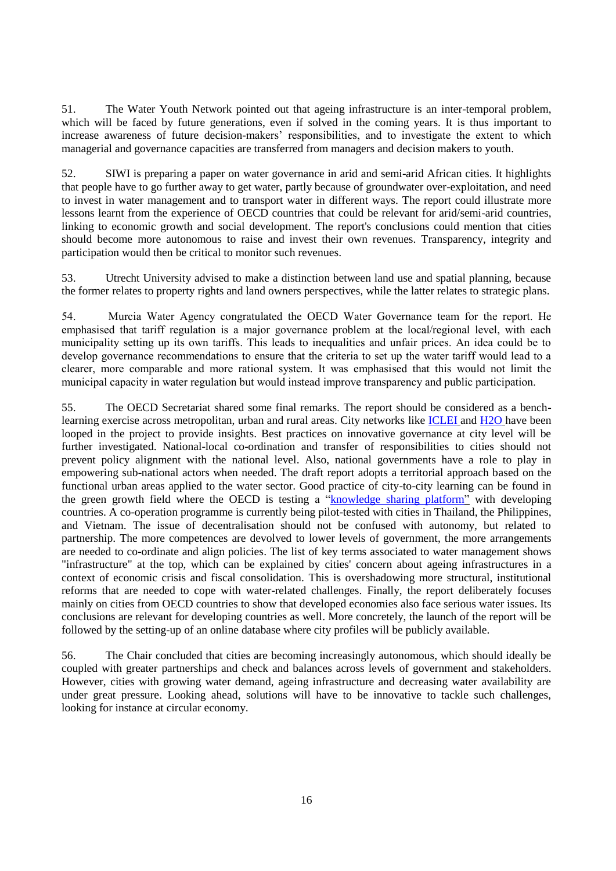51. The Water Youth Network pointed out that ageing infrastructure is an inter-temporal problem, which will be faced by future generations, even if solved in the coming years. It is thus important to increase awareness of future decision-makers' responsibilities, and to investigate the extent to which managerial and governance capacities are transferred from managers and decision makers to youth.

52. SIWI is preparing a paper on water governance in arid and semi-arid African cities. It highlights that people have to go further away to get water, partly because of groundwater over-exploitation, and need to invest in water management and to transport water in different ways. The report could illustrate more lessons learnt from the experience of OECD countries that could be relevant for arid/semi-arid countries, linking to economic growth and social development. The report's conclusions could mention that cities should become more autonomous to raise and invest their own revenues. Transparency, integrity and participation would then be critical to monitor such revenues.

53. Utrecht University advised to make a distinction between land use and spatial planning, because the former relates to property rights and land owners perspectives, while the latter relates to strategic plans.

54. Murcia Water Agency congratulated the OECD Water Governance team for the report. He emphasised that tariff regulation is a major governance problem at the local/regional level, with each municipality setting up its own tariffs. This leads to inequalities and unfair prices. An idea could be to develop governance recommendations to ensure that the criteria to set up the water tariff would lead to a clearer, more comparable and more rational system. It was emphasised that this would not limit the municipal capacity in water regulation but would instead improve transparency and public participation.

55. The OECD Secretariat shared some final remarks. The report should be considered as a benchlearning exercise across metropolitan, urban and rural areas. City networks like [ICLEI](http://www.iclei.org/) and [H2O](http://www.netwerch2o.eu/) have been looped in the project to provide insights. Best practices on innovative governance at city level will be further investigated. National-local co-ordination and transfer of responsibilities to cities should not prevent policy alignment with the national level. Also, national governments have a role to play in empowering sub-national actors when needed. The draft report adopts a territorial approach based on the functional urban areas applied to the water sector. Good practice of city-to-city learning can be found in the green growth field where the OECD is testing a ["knowledge sharing platform"](http://www.oecd.org/gov/regional-policy/knowledge-sharing-for-urban-green-growth-in-dynamic-asia.htm) with developing countries. A co-operation programme is currently being pilot-tested with cities in Thailand, the Philippines, and Vietnam. The issue of decentralisation should not be confused with autonomy, but related to partnership. The more competences are devolved to lower levels of government, the more arrangements are needed to co-ordinate and align policies. The list of key terms associated to water management shows "infrastructure" at the top, which can be explained by cities' concern about ageing infrastructures in a context of economic crisis and fiscal consolidation. This is overshadowing more structural, institutional reforms that are needed to cope with water-related challenges. Finally, the report deliberately focuses mainly on cities from OECD countries to show that developed economies also face serious water issues. Its conclusions are relevant for developing countries as well. More concretely, the launch of the report will be followed by the setting-up of an online database where city profiles will be publicly available.

56. The Chair concluded that cities are becoming increasingly autonomous, which should ideally be coupled with greater partnerships and check and balances across levels of government and stakeholders. However, cities with growing water demand, ageing infrastructure and decreasing water availability are under great pressure. Looking ahead, solutions will have to be innovative to tackle such challenges, looking for instance at circular economy.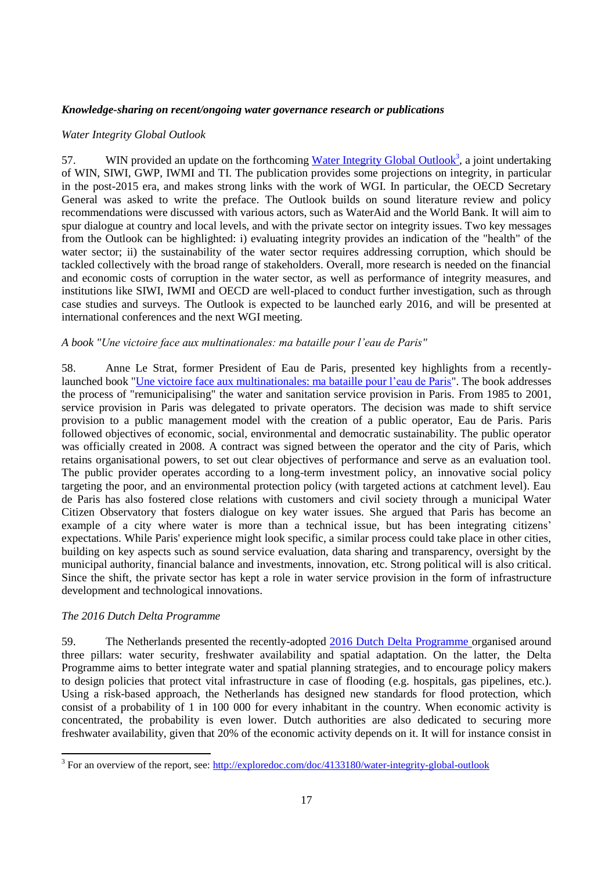## <span id="page-16-0"></span>*Knowledge-sharing on recent/ongoing water governance research or publications*

#### <span id="page-16-1"></span>*Water Integrity Global Outlook*

57. WIN provided an update on the forthcoming [Water Integrity Global Outlook](http://programme.worldwaterweek.org/event/4430)<sup>3</sup>, a joint undertaking of WIN, SIWI, GWP, IWMI and TI. The publication provides some projections on integrity, in particular in the post-2015 era, and makes strong links with the work of WGI. In particular, the OECD Secretary General was asked to write the preface. The Outlook builds on sound literature review and policy recommendations were discussed with various actors, such as WaterAid and the World Bank. It will aim to spur dialogue at country and local levels, and with the private sector on integrity issues. Two key messages from the Outlook can be highlighted: i) evaluating integrity provides an indication of the "health" of the water sector; ii) the sustainability of the water sector requires addressing corruption, which should be tackled collectively with the broad range of stakeholders. Overall, more research is needed on the financial and economic costs of corruption in the water sector, as well as performance of integrity measures, and institutions like SIWI, IWMI and OECD are well-placed to conduct further investigation, such as through case studies and surveys. The Outlook is expected to be launched early 2016, and will be presented at international conferences and the next WGI meeting.

## <span id="page-16-2"></span>*A book "Une victoire face aux multinationales: ma bataille pour l'eau de Paris"*

58. Anne Le Strat, former President of Eau de Paris, presented key highlights from a recentlylaunched book ["Une victoire face aux multinationales: ma bataille pour l'eau de Paris"](http://www.lespetitsmatins.fr/collections/une-victoire-contre-les-multinationales-ma-bataille-pour-leau-de-paris/). The book addresses the process of "remunicipalising" the water and sanitation service provision in Paris. From 1985 to 2001, service provision in Paris was delegated to private operators. The decision was made to shift service provision to a public management model with the creation of a public operator, Eau de Paris. Paris followed objectives of economic, social, environmental and democratic sustainability. The public operator was officially created in 2008. A contract was signed between the operator and the city of Paris, which retains organisational powers, to set out clear objectives of performance and serve as an evaluation tool. The public provider operates according to a long-term investment policy, an innovative social policy targeting the poor, and an environmental protection policy (with targeted actions at catchment level). Eau de Paris has also fostered close relations with customers and civil society through a municipal Water Citizen Observatory that fosters dialogue on key water issues. She argued that Paris has become an example of a city where water is more than a technical issue, but has been integrating citizens' expectations. While Paris' experience might look specific, a similar process could take place in other cities, building on key aspects such as sound service evaluation, data sharing and transparency, oversight by the municipal authority, financial balance and investments, innovation, etc. Strong political will is also critical. Since the shift, the private sector has kept a role in water service provision in the form of infrastructure development and technological innovations.

## <span id="page-16-3"></span>*The 2016 Dutch Delta Programme*

 $\overline{a}$ 

59. The Netherlands presented the recently-adopted [2016 Dutch Delta Programme](http://english.deltacommissaris.nl/delta-programme/contents/delta-programme-2016) organised around three pillars: water security, freshwater availability and spatial adaptation. On the latter, the Delta Programme aims to better integrate water and spatial planning strategies, and to encourage policy makers to design policies that protect vital infrastructure in case of flooding (e.g. hospitals, gas pipelines, etc.). Using a risk-based approach, the Netherlands has designed new standards for flood protection, which consist of a probability of 1 in 100 000 for every inhabitant in the country. When economic activity is concentrated, the probability is even lower. Dutch authorities are also dedicated to securing more freshwater availability, given that 20% of the economic activity depends on it. It will for instance consist in

<sup>&</sup>lt;sup>3</sup> For an overview of the report, see:  $\frac{http://exploredoc.com/doc/4133180/water-integrity-global-outlook}{}$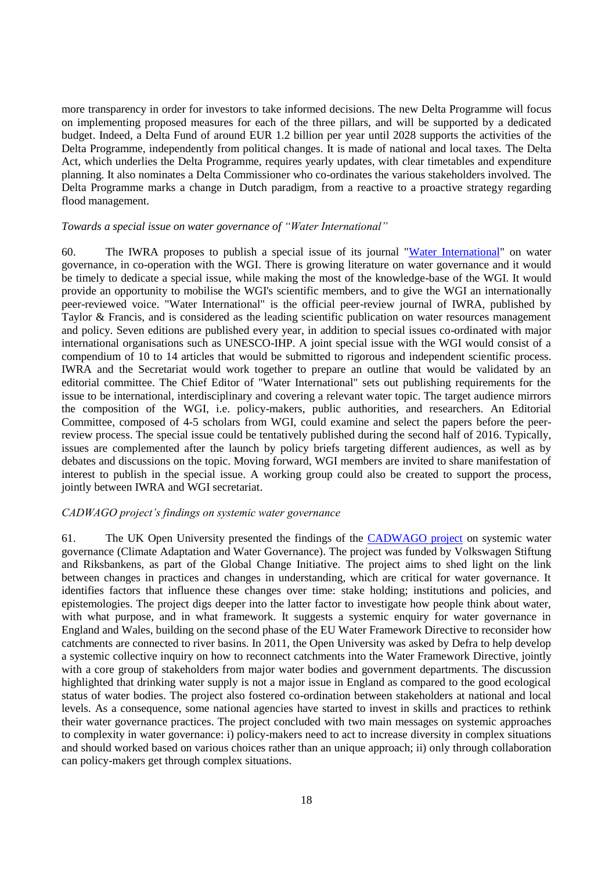more transparency in order for investors to take informed decisions. The new Delta Programme will focus on implementing proposed measures for each of the three pillars, and will be supported by a dedicated budget. Indeed, a Delta Fund of around EUR 1.2 billion per year until 2028 supports the activities of the Delta Programme, independently from political changes. It is made of national and local taxes. The Delta Act, which underlies the Delta Programme, requires yearly updates, with clear timetables and expenditure planning. It also nominates a Delta Commissioner who co-ordinates the various stakeholders involved. The Delta Programme marks a change in Dutch paradigm, from a reactive to a proactive strategy regarding flood management.

#### <span id="page-17-0"></span>*Towards a special issue on water governance of "Water International"*

60. The IWRA proposes to publish a special issue of its journal ["Water International"](http://www.iwra.org/index.php?page=155) on water governance, in co-operation with the WGI. There is growing literature on water governance and it would be timely to dedicate a special issue, while making the most of the knowledge-base of the WGI. It would provide an opportunity to mobilise the WGI's scientific members, and to give the WGI an internationally peer-reviewed voice. "Water International" is the official peer-review journal of IWRA, published by Taylor & Francis, and is considered as the leading scientific publication on water resources management and policy. Seven editions are published every year, in addition to special issues co-ordinated with major international organisations such as UNESCO-IHP. A joint special issue with the WGI would consist of a compendium of 10 to 14 articles that would be submitted to rigorous and independent scientific process. IWRA and the Secretariat would work together to prepare an outline that would be validated by an editorial committee. The Chief Editor of "Water International" sets out publishing requirements for the issue to be international, interdisciplinary and covering a relevant water topic. The target audience mirrors the composition of the WGI, i.e. policy-makers, public authorities, and researchers. An Editorial Committee, composed of 4-5 scholars from WGI, could examine and select the papers before the peerreview process. The special issue could be tentatively published during the second half of 2016. Typically, issues are complemented after the launch by policy briefs targeting different audiences, as well as by debates and discussions on the topic. Moving forward, WGI members are invited to share manifestation of interest to publish in the special issue. A working group could also be created to support the process, jointly between IWRA and WGI secretariat.

#### <span id="page-17-1"></span>*CADWAGO project's findings on systemic water governance*

61. The UK Open University presented the findings of the [CADWAGO project](http://www.cadwago.net/) on systemic water governance (Climate Adaptation and Water Governance). The project was funded by Volkswagen Stiftung and Riksbankens, as part of the Global Change Initiative. The project aims to shed light on the link between changes in practices and changes in understanding, which are critical for water governance. It identifies factors that influence these changes over time: stake holding; institutions and policies, and epistemologies. The project digs deeper into the latter factor to investigate how people think about water, with what purpose, and in what framework. It suggests a systemic enquiry for water governance in England and Wales, building on the second phase of the EU Water Framework Directive to reconsider how catchments are connected to river basins. In 2011, the Open University was asked by Defra to help develop a systemic collective inquiry on how to reconnect catchments into the Water Framework Directive, jointly with a core group of stakeholders from major water bodies and government departments. The discussion highlighted that drinking water supply is not a major issue in England as compared to the good ecological status of water bodies. The project also fostered co-ordination between stakeholders at national and local levels. As a consequence, some national agencies have started to invest in skills and practices to rethink their water governance practices. The project concluded with two main messages on systemic approaches to complexity in water governance: i) policy-makers need to act to increase diversity in complex situations and should worked based on various choices rather than an unique approach; ii) only through collaboration can policy-makers get through complex situations.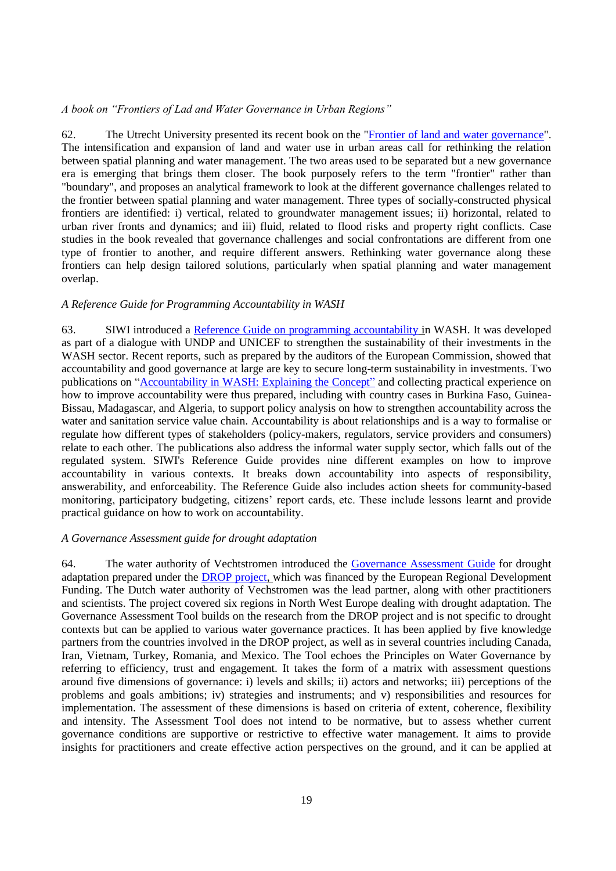### <span id="page-18-0"></span>*A book on "Frontiers of Lad and Water Governance in Urban Regions"*

62. The Utrecht University presented its recent book on the ["Frontier of land and water governance"](http://www.amazon.com/Frontiers-Governance-Regions-Routledge-Special/dp/1138911151). The intensification and expansion of land and water use in urban areas call for rethinking the relation between spatial planning and water management. The two areas used to be separated but a new governance era is emerging that brings them closer. The book purposely refers to the term "frontier" rather than "boundary", and proposes an analytical framework to look at the different governance challenges related to the frontier between spatial planning and water management. Three types of socially-constructed physical frontiers are identified: i) vertical, related to groundwater management issues; ii) horizontal, related to urban river fronts and dynamics; and iii) fluid, related to flood risks and property right conflicts. Case studies in the book revealed that governance challenges and social confrontations are different from one type of frontier to another, and require different answers. Rethinking water governance along these frontiers can help design tailored solutions, particularly when spatial planning and water management overlap.

#### <span id="page-18-1"></span>*A Reference Guide for Programming Accountability in WASH*

63. SIWI introduced a [Reference Guide on programming accountability](http://watergovernance.org/resources/accountability-in-wash-a-reference-guide-for-programming/) in WASH. It was developed as part of a dialogue with UNDP and UNICEF to strengthen the sustainability of their investments in the WASH sector. Recent reports, such as prepared by the auditors of the European Commission, showed that accountability and good governance at large are key to secure long-term sustainability in investments. Two publications on ["Accountability in WASH: Explaining the Concept"](http://www.unicef.org/wash/files/Accountability_in_WASH_Explaining_the_Concept.pdf) and collecting practical experience on how to improve accountability were thus prepared, including with country cases in Burkina Faso, Guinea-Bissau, Madagascar, and Algeria, to support policy analysis on how to strengthen accountability across the water and sanitation service value chain. Accountability is about relationships and is a way to formalise or regulate how different types of stakeholders (policy-makers, regulators, service providers and consumers) relate to each other. The publications also address the informal water supply sector, which falls out of the regulated system. SIWI's Reference Guide provides nine different examples on how to improve accountability in various contexts. It breaks down accountability into aspects of responsibility, answerability, and enforceability. The Reference Guide also includes action sheets for community-based monitoring, participatory budgeting, citizens' report cards, etc. These include lessons learnt and provide practical guidance on how to work on accountability.

#### <span id="page-18-2"></span>*A Governance Assessment guide for drought adaptation*

64. The water authority of Vechtstromen introduced the [Governance Assessment Guide](https://www.google.fr/url?sa=t&rct=j&q=&esrc=s&source=web&cd=1&ved=0ahUKEwjEuKjwr67JAhWC0RoKHcmqAE0QFggmMAA&url=https%3A%2F%2Fwww.utwente.nl%2F.system%2Fdl%2Fec~AQLL2xEADpM2AwM6CwA8DdkCOohG%2FDROP_Governance_Assesment_Guide_web.pdf%3Fwhs-download%3DDROP_Governance_Assesment_Guide_web.pdf&usg=AFQjCNEnjgfgZjPM5sFiyT2VbUbQKyWfaA&sig2=-xi59RJEvhGxF2DdXnZ9xQ&cad=rja) for drought adaptation prepared under the [DROP project,](http://www.dropproject.eu/) which was financed by the European Regional Development Funding. The Dutch water authority of Vechstromen was the lead partner, along with other practitioners and scientists. The project covered six regions in North West Europe dealing with drought adaptation. The Governance Assessment Tool builds on the research from the DROP project and is not specific to drought contexts but can be applied to various water governance practices. It has been applied by five knowledge partners from the countries involved in the DROP project, as well as in several countries including Canada, Iran, Vietnam, Turkey, Romania, and Mexico. The Tool echoes the Principles on Water Governance by referring to efficiency, trust and engagement. It takes the form of a matrix with assessment questions around five dimensions of governance: i) levels and skills; ii) actors and networks; iii) perceptions of the problems and goals ambitions; iv) strategies and instruments; and v) responsibilities and resources for implementation. The assessment of these dimensions is based on criteria of extent, coherence, flexibility and intensity. The Assessment Tool does not intend to be normative, but to assess whether current governance conditions are supportive or restrictive to effective water management. It aims to provide insights for practitioners and create effective action perspectives on the ground, and it can be applied at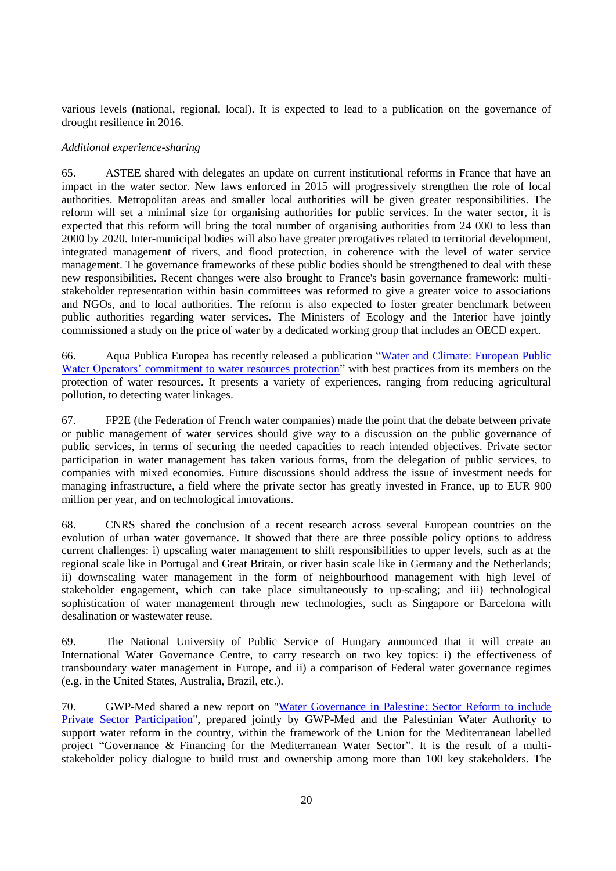various levels (national, regional, local). It is expected to lead to a publication on the governance of drought resilience in 2016.

### <span id="page-19-0"></span>*Additional experience-sharing*

65. ASTEE shared with delegates an update on current institutional reforms in France that have an impact in the water sector. New laws enforced in 2015 will progressively strengthen the role of local authorities. Metropolitan areas and smaller local authorities will be given greater responsibilities. The reform will set a minimal size for organising authorities for public services. In the water sector, it is expected that this reform will bring the total number of organising authorities from 24 000 to less than 2000 by 2020. Inter-municipal bodies will also have greater prerogatives related to territorial development, integrated management of rivers, and flood protection, in coherence with the level of water service management. The governance frameworks of these public bodies should be strengthened to deal with these new responsibilities. Recent changes were also brought to France's basin governance framework: multistakeholder representation within basin committees was reformed to give a greater voice to associations and NGOs, and to local authorities. The reform is also expected to foster greater benchmark between public authorities regarding water services. The Ministers of Ecology and the Interior have jointly commissioned a study on the price of water by a dedicated working group that includes an OECD expert.

66. Aqua Publica Europea has recently released a publication ["Water and Climate: European Public](http://www.aquapublica.eu/IMG/pdf/water_and_climate-en-19-10-2015.pdf)  [Water Operators' commitment to water resources protection"](http://www.aquapublica.eu/IMG/pdf/water_and_climate-en-19-10-2015.pdf) with best practices from its members on the protection of water resources. It presents a variety of experiences, ranging from reducing agricultural pollution, to detecting water linkages.

67. FP2E (the Federation of French water companies) made the point that the debate between private or public management of water services should give way to a discussion on the public governance of public services, in terms of securing the needed capacities to reach intended objectives. Private sector participation in water management has taken various forms, from the delegation of public services, to companies with mixed economies. Future discussions should address the issue of investment needs for managing infrastructure, a field where the private sector has greatly invested in France, up to EUR 900 million per year, and on technological innovations.

68. CNRS shared the conclusion of a recent research across several European countries on the evolution of urban water governance. It showed that there are three possible policy options to address current challenges: i) upscaling water management to shift responsibilities to upper levels, such as at the regional scale like in Portugal and Great Britain, or river basin scale like in Germany and the Netherlands; ii) downscaling water management in the form of neighbourhood management with high level of stakeholder engagement, which can take place simultaneously to up-scaling; and iii) technological sophistication of water management through new technologies, such as Singapore or Barcelona with desalination or wastewater reuse.

69. The National University of Public Service of Hungary announced that it will create an International Water Governance Centre, to carry research on two key topics: i) the effectiveness of transboundary water management in Europe, and ii) a comparison of Federal water governance regimes (e.g. in the United States, Australia, Brazil, etc.).

70. GWP-Med shared a new report on ["Water Governance in Palestine:](http://www.gwp.org/Global/GWP-Med%20Files/Governance-Microsite/Resources/Governance%20and%20Financing_Palestine_Final%20Report.pdf) Sector Reform to include [Private Sector Participation"](http://www.gwp.org/Global/GWP-Med%20Files/Governance-Microsite/Resources/Governance%20and%20Financing_Palestine_Final%20Report.pdf), prepared jointly by GWP-Med and the Palestinian Water Authority to support water reform in the country, within the framework of the Union for the Mediterranean labelled project "Governance & Financing for the Mediterranean Water Sector". It is the result of a multistakeholder policy dialogue to build trust and ownership among more than 100 key stakeholders. The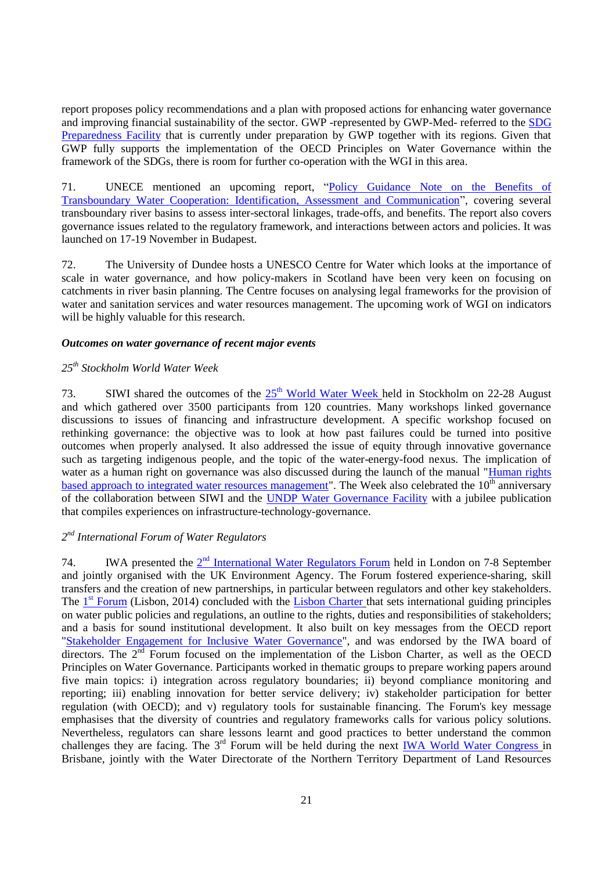report proposes policy recommendations and a plan with proposed actions for enhancing water governance and improving financial sustainability of the sector. GWP -represented by GWP-Med- referred to the [SDG](https://sustainabledevelopment.un.org/partnership/?p=10121%20?)  [Preparedness Facility](https://sustainabledevelopment.un.org/partnership/?p=10121%20?) that is currently under preparation by GWP together with its regions. Given that GWP fully supports the implementation of the OECD Principles on Water Governance within the framework of the SDGs, there is room for further co-operation with the WGI in this area.

71. UNECE mentioned an upcoming report, ["Policy Guidance Note on the Benefits of](http://www.unece.org/env/water/publication/ece_mp.wat_47.html)  Transboundary [Water Cooperation: Identification, Assessment and Communication"](http://www.unece.org/env/water/publication/ece_mp.wat_47.html), covering several transboundary river basins to assess inter-sectoral linkages, trade-offs, and benefits. The report also covers governance issues related to the regulatory framework, and interactions between actors and policies. It was launched on 17-19 November in Budapest.

72. The University of Dundee hosts a UNESCO Centre for Water which looks at the importance of scale in water governance, and how policy-makers in Scotland have been very keen on focusing on catchments in river basin planning. The Centre focuses on analysing legal frameworks for the provision of water and sanitation services and water resources management. The upcoming work of WGI on indicators will be highly valuable for this research.

## <span id="page-20-0"></span>*Outcomes on water governance of recent major events*

## <span id="page-20-1"></span>*25th Stockholm World Water Week*

73. SIWI shared the outcomes of the  $25<sup>th</sup>$  [World Water Week](http://www.worldwaterweek.org/) held in Stockholm on 22-28 August and which gathered over 3500 participants from 120 countries. Many workshops linked governance discussions to issues of financing and infrastructure development. A specific workshop focused on rethinking governance: the objective was to look at how past failures could be turned into positive outcomes when properly analysed. It also addressed the issue of equity through innovative governance such as targeting indigenous people, and the topic of the water-energy-food nexus. The implication of water as a human right on governance was also discussed during the launch of the manual "Human rights" [based approach to integrated water resources management"](http://www.siwi.org/wp-content/uploads/2015/08/HRBA-VC-announcement-24-7-2015.pdf). The Week also celebrated the  $10<sup>th</sup>$  anniversary of the collaboration between SIWI and the [UNDP Water Governance Facility](http://watergovernance.org/fr/about-us/) with a jubilee publication that compiles experiences on infrastructure-technology-governance.

## <span id="page-20-2"></span>*2 nd International Forum of Water Regulators*

74. IWA presented the  $2<sup>nd</sup>$  [International Water Regulators Forum](http://www.iwa-network.org/iwrf) held in London on 7-8 September and jointly organised with the UK Environment Agency. The Forum fostered experience-sharing, skill transfers and the creation of new partnerships, in particular between regulators and other key stakeholders. The 1<sup>st</sup> [Forum](http://www.iwa-network.org/downloads/1444403474-Presentations%20of%20the%20First%20International%20Water%20Regulators%20Forum%202014%20in%20Lisbon.zip) (Lisbon, 2014) concluded with the [Lisbon Charter](http://www.iwa-network.org/blog2/improving-water-services-through-innovations-in-regulation-) that sets international guiding principles on water public policies and regulations, an outline to the rights, duties and responsibilities of stakeholders; and a basis for sound institutional development. It also built on key messages from the OECD report "Stakeholder Engagement [for Inclusive Water Governance"](http://www.oecd.org/environment/stakeholder-engagement-for-inclusive-water-governance-9789264231122-en.htm), and was endorsed by the IWA board of directors. The  $2<sup>\overline{nd}</sup>$  Forum focused on the implementation of the Lisbon Charter, as well as the OECD Principles on Water Governance. Participants worked in thematic groups to prepare working papers around five main topics: i) integration across regulatory boundaries; ii) beyond compliance monitoring and reporting; iii) enabling innovation for better service delivery; iv) stakeholder participation for better regulation (with OECD); and v) regulatory tools for sustainable financing. The Forum's key message emphasises that the diversity of countries and regulatory frameworks calls for various policy solutions. Nevertheless, regulators can share lessons learnt and good practices to better understand the common challenges they are facing. The 3<sup>rd</sup> Forum will be held during the next [IWA World Water Congress](http://www.iwa-network.org/event/world-water-congress-exhibition-2016/) in Brisbane, jointly with the Water Directorate of the Northern Territory Department of Land Resources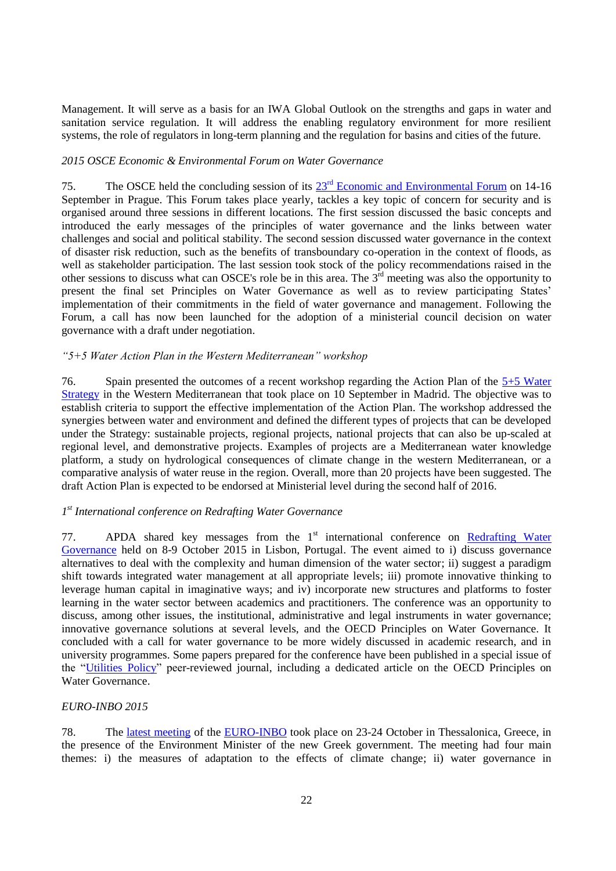Management. It will serve as a basis for an IWA Global Outlook on the strengths and gaps in water and sanitation service regulation. It will address the enabling regulatory environment for more resilient systems, the role of regulators in long-term planning and the regulation for basins and cities of the future.

## <span id="page-21-0"></span>*2015 OSCE Economic & Environmental Forum on Water Governance*

75. The OSCE held the concluding session of its  $23<sup>rd</sup>$  [Economic and Environmental Forum](http://www.osce.org/event/23rd_eef_2015) on 14-16 September in Prague. This Forum takes place yearly, tackles a key topic of concern for security and is organised around three sessions in different locations. The first session discussed the basic concepts and introduced the early messages of the principles of water governance and the links between water challenges and social and political stability. The second session discussed water governance in the context of disaster risk reduction, such as the benefits of transboundary co-operation in the context of floods, as well as stakeholder participation. The last session took stock of the policy recommendations raised in the other sessions to discuss what can OSCE's role be in this area. The  $3<sup>rd</sup>$  meeting was also the opportunity to present the final set Principles on Water Governance as well as to review participating States' implementation of their commitments in the field of water governance and management. Following the Forum, a call has now been launched for the adoption of a ministerial council decision on water governance with a draft under negotiation.

### <span id="page-21-1"></span>*"5+5 Water Action Plan in the Western Mediterranean" workshop*

76. Spain presented the outcomes of a recent workshop regarding the Action Plan of the  $5+5$  Water [Strategy](http://www.emwis.org/thematicdirs/events/2014/02/5-5-water-strategy-western-mediterranean.-1sr-workshop) in the Western Mediterranean that took place on 10 September in Madrid. The objective was to establish criteria to support the effective implementation of the Action Plan. The workshop addressed the synergies between water and environment and defined the different types of projects that can be developed under the Strategy: sustainable projects, regional projects, national projects that can also be up-scaled at regional level, and demonstrative projects. Examples of projects are a Mediterranean water knowledge platform, a study on hydrological consequences of climate change in the western Mediterranean, or a comparative analysis of water reuse in the region. Overall, more than 20 projects have been suggested. The draft Action Plan is expected to be endorsed at Ministerial level during the second half of 2016.

## <span id="page-21-2"></span>*1 st International conference on Redrafting Water Governance*

77. APDA shared key messages from the  $1<sup>st</sup>$  international conference on Redrafting Water [Governance](http://elainegregorio.wix.com/h2ogovernance) held on 8-9 October 2015 in Lisbon, Portugal. The event aimed to i) discuss governance alternatives to deal with the complexity and human dimension of the water sector; ii) suggest a paradigm shift towards integrated water management at all appropriate levels; iii) promote innovative thinking to leverage human capital in imaginative ways; and iv) incorporate new structures and platforms to foster learning in the water sector between academics and practitioners. The conference was an opportunity to discuss, among other issues, the institutional, administrative and legal instruments in water governance; innovative governance solutions at several levels, and the OECD Principles on Water Governance. It concluded with a call for water governance to be more widely discussed in academic research, and in university programmes. Some papers prepared for the conference have been published in a special issue of the ["Utilities Policy"](http://www.journals.elsevier.com/utilities-policy/call-for-papers/special-issue-on-redrafting-water-governance/) peer-reviewed journal, including a dedicated article on the OECD Principles on Water Governance.

## <span id="page-21-3"></span>*EURO-INBO 2015*

78. The [latest meeting](http://www.inbo-news.org/inbo/agenda/article/europe-inbo-2015) of the [EURO-INBO](http://www.inbo-news.org/tag/europe-inbo?lang=en) took place on 23-24 October in Thessalonica, Greece, in the presence of the Environment Minister of the new Greek government. The meeting had four main themes: i) the measures of adaptation to the effects of climate change; ii) water governance in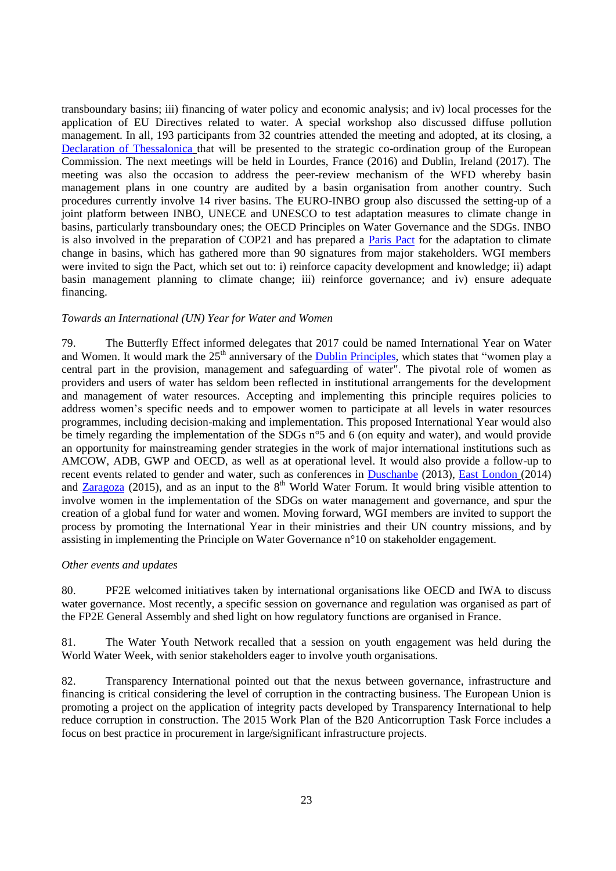transboundary basins; iii) financing of water policy and economic analysis; and iv) local processes for the application of EU Directives related to water. A special workshop also discussed diffuse pollution management. In all, 193 participants from 32 countries attended the meeting and adopted, at its closing, a [Declaration of Thessalonica](http://www.inbo-news.org/events/21-24-octobre-2015-thessalonique/declaration-de-thessalonique/?lang=en) that will be presented to the strategic co-ordination group of the European Commission. The next meetings will be held in Lourdes, France (2016) and Dublin, Ireland (2017). The meeting was also the occasion to address the peer-review mechanism of the WFD whereby basin management plans in one country are audited by a basin organisation from another country. Such procedures currently involve 14 river basins. The EURO-INBO group also discussed the setting-up of a joint platform between INBO, UNECE and UNESCO to test adaptation measures to climate change in basins, particularly transboundary ones; the OECD Principles on Water Governance and the SDGs. INBO is also involved in the preparation of COP21 and has prepared a [Paris Pact](http://www.riob.org/inbo/international-initiatives/article/water-and-adaptation-to-the) for the adaptation to climate change in basins, which has gathered more than 90 signatures from major stakeholders. WGI members were invited to sign the Pact, which set out to: i) reinforce capacity development and knowledge; ii) adapt basin management planning to climate change; iii) reinforce governance; and iv) ensure adequate financing.

#### <span id="page-22-0"></span>*Towards an International (UN) Year for Water and Women*

79. The Butterfly Effect informed delegates that 2017 could be named International Year on Water and Women. It would mark the 25<sup>th</sup> anniversary of the [Dublin Principles,](http://www.wmo.int/pages/prog/hwrp/documents/english/icwedece.html) which states that "women play a central part in the provision, management and safeguarding of water". The pivotal role of women as providers and users of water has seldom been reflected in institutional arrangements for the development and management of water resources. Accepting and implementing this principle requires policies to address women's specific needs and to empower women to participate at all levels in water resources programmes, including decision-making and implementation. This proposed International Year would also be timely regarding the implementation of the SDGs n°5 and 6 (on equity and water), and would provide an opportunity for mainstreaming gender strategies in the work of major international institutions such as AMCOW, ADB, GWP and OECD, as well as at operational level. It would also provide a follow-up to recent events related to gender and water, such as conferences in [Duschanbe](http://www.womenforwater.org/docs/outcome_documents_eng.pdf) (2013), [East London](http://southernafrica.iwmi.cgiar.org/wp-content/uploads/sites/5/2014/12/Report-on-the-Gender-Water-and-Development-Conference.pdf) (2014) and [Zaragoza](http://www.un.org/waterforlifedecade/waterandsustainabledevelopment2015/) (2015), and as an input to the 8<sup>th</sup> World Water Forum. It would bring visible attention to involve women in the implementation of the SDGs on water management and governance, and spur the creation of a global fund for water and women. Moving forward, WGI members are invited to support the process by promoting the International Year in their ministries and their UN country missions, and by assisting in implementing the Principle on Water Governance n°10 on stakeholder engagement.

#### <span id="page-22-1"></span>*Other events and updates*

80. PF2E welcomed initiatives taken by international organisations like OECD and IWA to discuss water governance. Most recently, a specific session on governance and regulation was organised as part of the FP2E General Assembly and shed light on how regulatory functions are organised in France.

81. The Water Youth Network recalled that a session on youth engagement was held during the World Water Week, with senior stakeholders eager to involve youth organisations.

82. Transparency International pointed out that the nexus between governance, infrastructure and financing is critical considering the level of corruption in the contracting business. The European Union is promoting a project on the application of integrity pacts developed by Transparency International to help reduce corruption in construction. The 2015 Work Plan of the B20 Anticorruption Task Force includes a focus on best practice in procurement in large/significant infrastructure projects.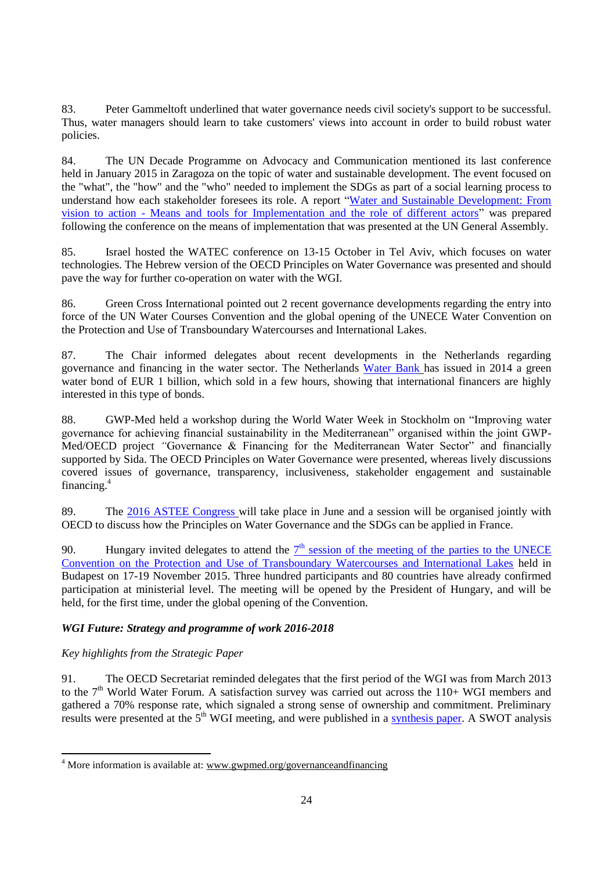83. Peter Gammeltoft underlined that water governance needs civil society's support to be successful. Thus, water managers should learn to take customers' views into account in order to build robust water policies.

84. The UN Decade Programme on Advocacy and Communication mentioned its last conference held in January 2015 in Zaragoza on the topic of water and sustainable development. The event focused on the "what", the "how" and the "who" needed to implement the SDGs as part of a social learning process to understand how each stakeholder foresees its role. A report ["Water and Sustainable Development: From](http://www.un.org/waterforlifedecade/pdf/WaterandSD_Vision_to_Action-2.pdf)  vision to action - [Means and tools for Implementation and the role of different actors"](http://www.un.org/waterforlifedecade/pdf/WaterandSD_Vision_to_Action-2.pdf) was prepared following the conference on the means of implementation that was presented at the UN General Assembly.

85. Israel hosted the WATEC conference on 13-15 October in Tel Aviv, which focuses on water technologies. The Hebrew version of the OECD Principles on Water Governance was presented and should pave the way for further co-operation on water with the WGI.

86. Green Cross International pointed out 2 recent governance developments regarding the entry into force of the UN Water Courses Convention and the global opening of the UNECE Water Convention on the Protection and Use of Transboundary Watercourses and International Lakes.

87. The Chair informed delegates about recent developments in the Netherlands regarding governance and financing in the water sector. The Netherlands [Water Bank](https://www.nwbbank.com/home-en.html) has issued in 2014 a green water bond of EUR 1 billion, which sold in a few hours, showing that international financers are highly interested in this type of bonds.

88. GWP-Med held a workshop during the World Water Week in Stockholm on "Improving water governance for achieving financial sustainability in the Mediterranean" organised within the joint GWP-Med/OECD project *"*Governance & Financing for the Mediterranean Water Sector" and financially supported by Sida. The OECD Principles on Water Governance were presented, whereas lively discussions covered issues of governance, transparency, inclusiveness, stakeholder engagement and sustainable financing.<sup>4</sup>

89. The [2016 ASTEE Congress](http://www.astee.org/evenement/95eme-congres-de-lastee-territoires-en-transition-mettre-lintelligence-numerique-au-coeur-des-services-publics/) will take place in June and a session will be organised jointly with OECD to discuss how the Principles on Water Governance and the SDGs can be applied in France.

90. Hungary invited delegates to attend the  $7<sup>th</sup>$  session of the meeting of the parties to the UNECE [Convention on the Protection and Use of Transboundary Watercourses and International Lakes](http://www.unece.org/index.php?id=37064#/) held in Budapest on 17-19 November 2015. Three hundred participants and 80 countries have already confirmed participation at ministerial level. The meeting will be opened by the President of Hungary, and will be held, for the first time, under the global opening of the Convention.

## <span id="page-23-0"></span>*WGI Future: Strategy and programme of work 2016-2018*

## <span id="page-23-1"></span>*Key highlights from the Strategic Paper*

 $\overline{a}$ 

91. The OECD Secretariat reminded delegates that the first period of the WGI was from March 2013 to the 7<sup>th</sup> World Water Forum. A satisfaction survey was carried out across the 110+ WGI members and gathered a 70% response rate, which signaled a strong sense of ownership and commitment. Preliminary results were presented at the 5<sup>th</sup> WGI meeting, and were published in a [synthesis paper.](http://www.oecd.org/gov/regional-policy/WGI-Survey-synthesis.pdf) A SWOT analysis

<sup>&</sup>lt;sup>4</sup> More information is available at: [www.gwpmed.org/governanceandfinancing](http://www.gwpmed.org/governanceandfinancing)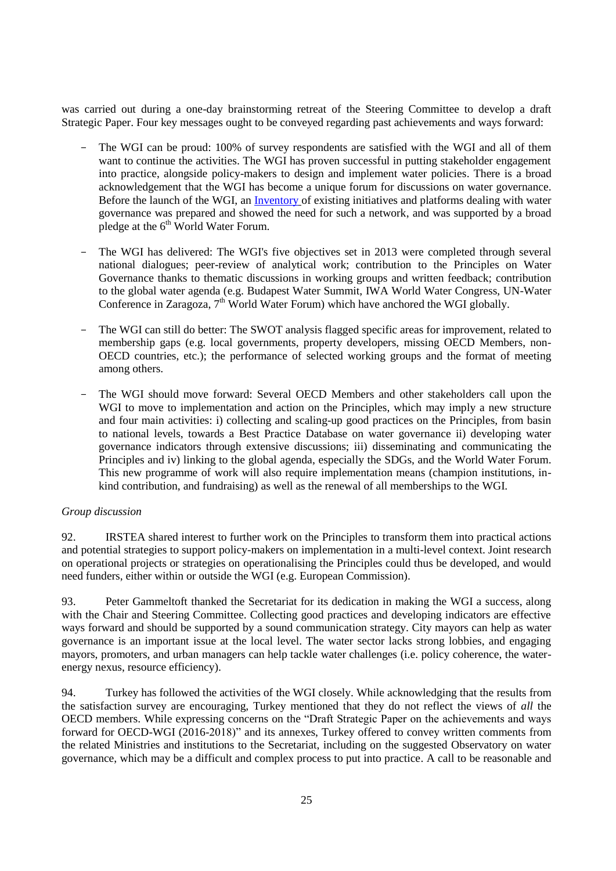was carried out during a one-day brainstorming retreat of the Steering Committee to develop a draft Strategic Paper. Four key messages ought to be conveyed regarding past achievements and ways forward:

- The WGI can be proud: 100% of survey respondents are satisfied with the WGI and all of them want to continue the activities. The WGI has proven successful in putting stakeholder engagement into practice, alongside policy-makers to design and implement water policies. There is a broad acknowledgement that the WGI has become a unique forum for discussions on water governance. Before the launch of the WGI, an [Inventory](http://www.oecd.org/gov/regional-policy/Inventory.pdf) of existing initiatives and platforms dealing with water governance was prepared and showed the need for such a network, and was supported by a broad pledge at the  $6<sup>th</sup>$  World Water Forum.
- The WGI has delivered: The WGI's five objectives set in 2013 were completed through several national dialogues; peer-review of analytical work; contribution to the Principles on Water Governance thanks to thematic discussions in working groups and written feedback; contribution to the global water agenda (e.g. Budapest Water Summit, IWA World Water Congress, UN-Water Conference in Zaragoza,  $7<sup>th</sup>$  World Water Forum) which have anchored the WGI globally.
- The WGI can still do better: The SWOT analysis flagged specific areas for improvement, related to membership gaps (e.g. local governments, property developers, missing OECD Members, non-OECD countries, etc.); the performance of selected working groups and the format of meeting among others.
- The WGI should move forward: Several OECD Members and other stakeholders call upon the WGI to move to implementation and action on the Principles, which may imply a new structure and four main activities: i) collecting and scaling-up good practices on the Principles, from basin to national levels, towards a Best Practice Database on water governance ii) developing water governance indicators through extensive discussions; iii) disseminating and communicating the Principles and iv) linking to the global agenda, especially the SDGs, and the World Water Forum. This new programme of work will also require implementation means (champion institutions, inkind contribution, and fundraising) as well as the renewal of all memberships to the WGI.

## *Group discussion*

92. IRSTEA shared interest to further work on the Principles to transform them into practical actions and potential strategies to support policy-makers on implementation in a multi-level context. Joint research on operational projects or strategies on operationalising the Principles could thus be developed, and would need funders, either within or outside the WGI (e.g. European Commission).

93. Peter Gammeltoft thanked the Secretariat for its dedication in making the WGI a success, along with the Chair and Steering Committee. Collecting good practices and developing indicators are effective ways forward and should be supported by a sound communication strategy. City mayors can help as water governance is an important issue at the local level. The water sector lacks strong lobbies, and engaging mayors, promoters, and urban managers can help tackle water challenges (i.e. policy coherence, the waterenergy nexus, resource efficiency).

94. Turkey has followed the activities of the WGI closely. While acknowledging that the results from the satisfaction survey are encouraging, Turkey mentioned that they do not reflect the views of *all* the OECD members. While expressing concerns on the "Draft Strategic Paper on the achievements and ways forward for OECD-WGI (2016-2018)" and its annexes, Turkey offered to convey written comments from the related Ministries and institutions to the Secretariat, including on the suggested Observatory on water governance, which may be a difficult and complex process to put into practice. A call to be reasonable and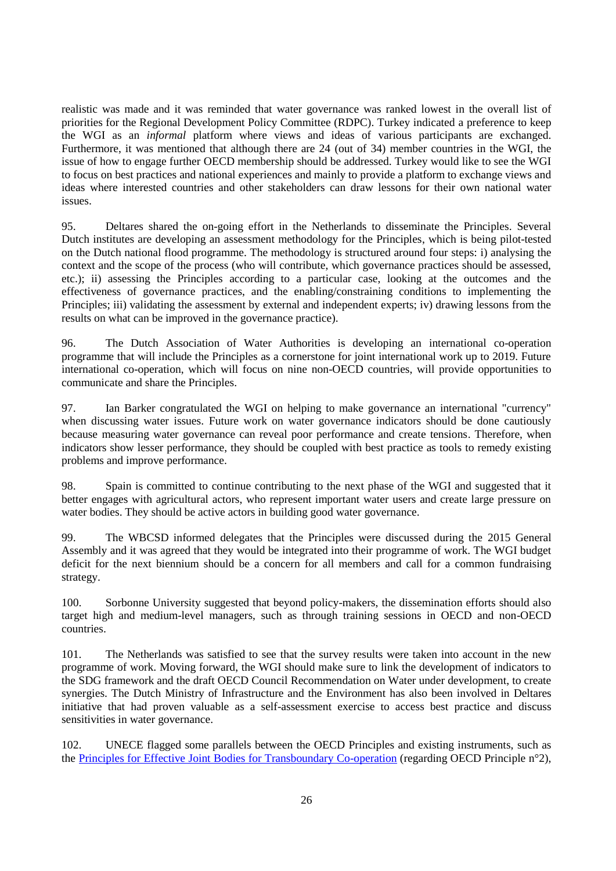realistic was made and it was reminded that water governance was ranked lowest in the overall list of priorities for the Regional Development Policy Committee (RDPC). Turkey indicated a preference to keep the WGI as an *informal* platform where views and ideas of various participants are exchanged. Furthermore, it was mentioned that although there are 24 (out of 34) member countries in the WGI, the issue of how to engage further OECD membership should be addressed. Turkey would like to see the WGI to focus on best practices and national experiences and mainly to provide a platform to exchange views and ideas where interested countries and other stakeholders can draw lessons for their own national water issues.

95. Deltares shared the on-going effort in the Netherlands to disseminate the Principles. Several Dutch institutes are developing an assessment methodology for the Principles, which is being pilot-tested on the Dutch national flood programme. The methodology is structured around four steps: i) analysing the context and the scope of the process (who will contribute, which governance practices should be assessed, etc.); ii) assessing the Principles according to a particular case, looking at the outcomes and the effectiveness of governance practices, and the enabling/constraining conditions to implementing the Principles; iii) validating the assessment by external and independent experts; iv) drawing lessons from the results on what can be improved in the governance practice).

96. The Dutch Association of Water Authorities is developing an international co-operation programme that will include the Principles as a cornerstone for joint international work up to 2019. Future international co-operation, which will focus on nine non-OECD countries, will provide opportunities to communicate and share the Principles.

97. Ian Barker congratulated the WGI on helping to make governance an international "currency" when discussing water issues. Future work on water governance indicators should be done cautiously because measuring water governance can reveal poor performance and create tensions. Therefore, when indicators show lesser performance, they should be coupled with best practice as tools to remedy existing problems and improve performance.

98. Spain is committed to continue contributing to the next phase of the WGI and suggested that it better engages with agricultural actors, who represent important water users and create large pressure on water bodies. They should be active actors in building good water governance.

99. The WBCSD informed delegates that the Principles were discussed during the 2015 General Assembly and it was agreed that they would be integrated into their programme of work. The WGI budget deficit for the next biennium should be a concern for all members and call for a common fundraising strategy.

100. Sorbonne University suggested that beyond policy-makers, the dissemination efforts should also target high and medium-level managers, such as through training sessions in OECD and non-OECD countries.

101. The Netherlands was satisfied to see that the survey results were taken into account in the new programme of work. Moving forward, the WGI should make sure to link the development of indicators to the SDG framework and the draft OECD Council Recommendation on Water under development, to create synergies. The Dutch Ministry of Infrastructure and the Environment has also been involved in Deltares initiative that had proven valuable as a self-assessment exercise to access best practice and discuss sensitivities in water governance.

102. UNECE flagged some parallels between the OECD Principles and existing instruments, such as the Principles for [Effective Joint Bodies for Transboundary](http://www.unece.org/fileadmin/DAM/env/documents/2015/WAT/06Jun_24-25_IWRM_Geneva/Informal_doc_2_Principles-of-joint-bodies_final_ENG.pdf) Co-operation (regarding OECD Principle n°2),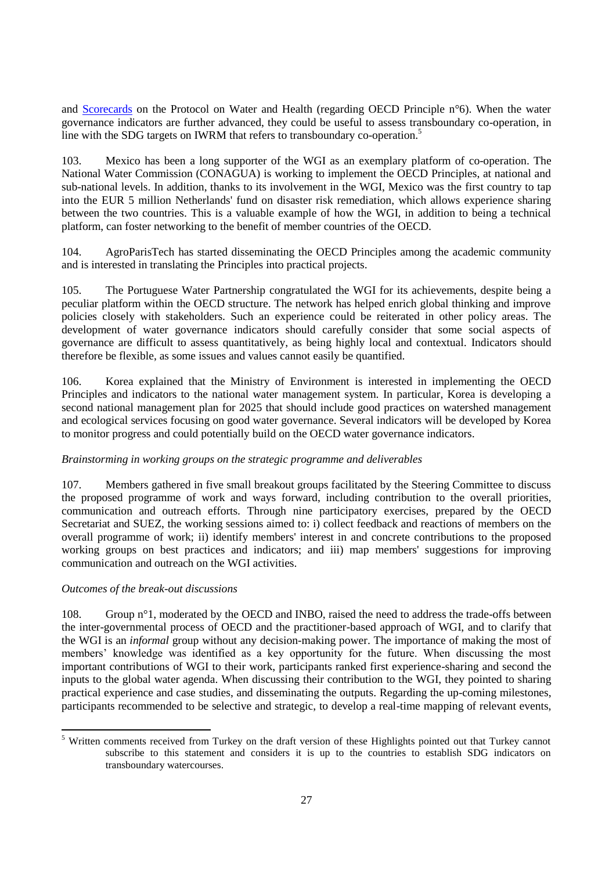and [Scorecards](http://www.unece.org/env/water/pwh_work/equitable_access.html) on the Protocol on Water and Health (regarding OECD Principle n°6). When the water governance indicators are further advanced, they could be useful to assess transboundary co-operation, in line with the SDG targets on IWRM that refers to transboundary co-operation.<sup>5</sup>

103. Mexico has been a long supporter of the WGI as an exemplary platform of co-operation. The National Water Commission (CONAGUA) is working to implement the OECD Principles, at national and sub-national levels. In addition, thanks to its involvement in the WGI, Mexico was the first country to tap into the EUR 5 million Netherlands' fund on disaster risk remediation, which allows experience sharing between the two countries. This is a valuable example of how the WGI, in addition to being a technical platform, can foster networking to the benefit of member countries of the OECD.

104. AgroParisTech has started disseminating the OECD Principles among the academic community and is interested in translating the Principles into practical projects.

105. The Portuguese Water Partnership congratulated the WGI for its achievements, despite being a peculiar platform within the OECD structure. The network has helped enrich global thinking and improve policies closely with stakeholders. Such an experience could be reiterated in other policy areas. The development of water governance indicators should carefully consider that some social aspects of governance are difficult to assess quantitatively, as being highly local and contextual. Indicators should therefore be flexible, as some issues and values cannot easily be quantified.

106. Korea explained that the Ministry of Environment is interested in implementing the OECD Principles and indicators to the national water management system. In particular, Korea is developing a second national management plan for 2025 that should include good practices on watershed management and ecological services focusing on good water governance. Several indicators will be developed by Korea to monitor progress and could potentially build on the OECD water governance indicators.

## <span id="page-26-0"></span>*Brainstorming in working groups on the strategic programme and deliverables*

107. Members gathered in five small breakout groups facilitated by the Steering Committee to discuss the proposed programme of work and ways forward, including contribution to the overall priorities, communication and outreach efforts. Through nine participatory exercises, prepared by the OECD Secretariat and SUEZ, the working sessions aimed to: i) collect feedback and reactions of members on the overall programme of work; ii) identify members' interest in and concrete contributions to the proposed working groups on best practices and indicators; and iii) map members' suggestions for improving communication and outreach on the WGI activities.

## <span id="page-26-1"></span>*Outcomes of the break-out discussions*

108. Group n°1, moderated by the OECD and INBO, raised the need to address the trade-offs between the inter-governmental process of OECD and the practitioner-based approach of WGI, and to clarify that the WGI is an *informal* group without any decision-making power. The importance of making the most of members' knowledge was identified as a key opportunity for the future. When discussing the most important contributions of WGI to their work, participants ranked first experience-sharing and second the inputs to the global water agenda. When discussing their contribution to the WGI, they pointed to sharing practical experience and case studies, and disseminating the outputs. Regarding the up-coming milestones, participants recommended to be selective and strategic, to develop a real-time mapping of relevant events,

<sup>&</sup>lt;sup>5</sup> Written comments received from Turkey on the draft version of these Highlights pointed out that Turkey cannot subscribe to this statement and considers it is up to the countries to establish SDG indicators on transboundary watercourses.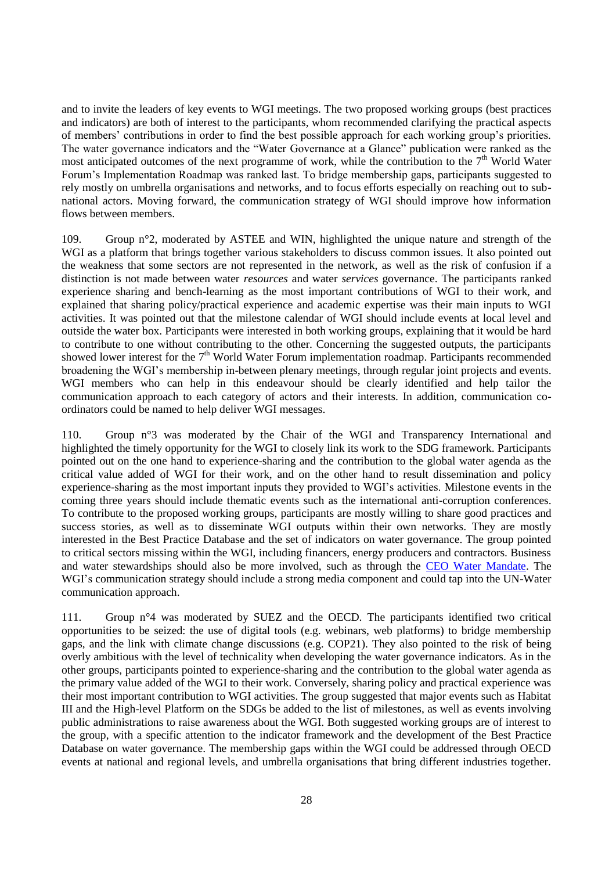and to invite the leaders of key events to WGI meetings. The two proposed working groups (best practices and indicators) are both of interest to the participants, whom recommended clarifying the practical aspects of members' contributions in order to find the best possible approach for each working group's priorities. The water governance indicators and the "Water Governance at a Glance" publication were ranked as the most anticipated outcomes of the next programme of work, while the contribution to the  $7<sup>th</sup>$  World Water Forum's Implementation Roadmap was ranked last. To bridge membership gaps, participants suggested to rely mostly on umbrella organisations and networks, and to focus efforts especially on reaching out to subnational actors. Moving forward, the communication strategy of WGI should improve how information flows between members.

109. Group n°2, moderated by ASTEE and WIN, highlighted the unique nature and strength of the WGI as a platform that brings together various stakeholders to discuss common issues. It also pointed out the weakness that some sectors are not represented in the network, as well as the risk of confusion if a distinction is not made between water *resources* and water *services* governance. The participants ranked experience sharing and bench-learning as the most important contributions of WGI to their work, and explained that sharing policy/practical experience and academic expertise was their main inputs to WGI activities. It was pointed out that the milestone calendar of WGI should include events at local level and outside the water box. Participants were interested in both working groups, explaining that it would be hard to contribute to one without contributing to the other. Concerning the suggested outputs, the participants showed lower interest for the  $7<sup>th</sup>$  World Water Forum implementation roadmap. Participants recommended broadening the WGI's membership in-between plenary meetings, through regular joint projects and events. WGI members who can help in this endeavour should be clearly identified and help tailor the communication approach to each category of actors and their interests. In addition, communication coordinators could be named to help deliver WGI messages.

110. Group n°3 was moderated by the Chair of the WGI and Transparency International and highlighted the timely opportunity for the WGI to closely link its work to the SDG framework. Participants pointed out on the one hand to experience-sharing and the contribution to the global water agenda as the critical value added of WGI for their work, and on the other hand to result dissemination and policy experience-sharing as the most important inputs they provided to WGI's activities. Milestone events in the coming three years should include thematic events such as the international anti-corruption conferences. To contribute to the proposed working groups, participants are mostly willing to share good practices and success stories, as well as to disseminate WGI outputs within their own networks. They are mostly interested in the Best Practice Database and the set of indicators on water governance. The group pointed to critical sectors missing within the WGI, including financers, energy producers and contractors. Business and water stewardships should also be more involved, such as through the [CEO Water Mandate.](http://ceowatermandate.org/) The WGI's communication strategy should include a strong media component and could tap into the UN-Water communication approach.

111. Group n°4 was moderated by SUEZ and the OECD. The participants identified two critical opportunities to be seized: the use of digital tools (e.g. webinars, web platforms) to bridge membership gaps, and the link with climate change discussions (e.g. COP21). They also pointed to the risk of being overly ambitious with the level of technicality when developing the water governance indicators. As in the other groups, participants pointed to experience-sharing and the contribution to the global water agenda as the primary value added of the WGI to their work. Conversely, sharing policy and practical experience was their most important contribution to WGI activities. The group suggested that major events such as Habitat III and the High-level Platform on the SDGs be added to the list of milestones, as well as events involving public administrations to raise awareness about the WGI. Both suggested working groups are of interest to the group, with a specific attention to the indicator framework and the development of the Best Practice Database on water governance. The membership gaps within the WGI could be addressed through OECD events at national and regional levels, and umbrella organisations that bring different industries together.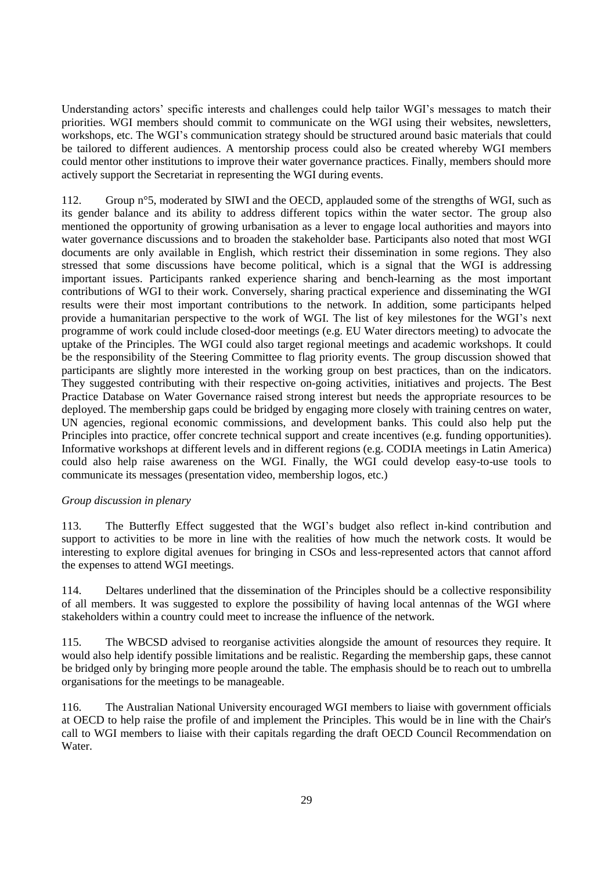Understanding actors' specific interests and challenges could help tailor WGI's messages to match their priorities. WGI members should commit to communicate on the WGI using their websites, newsletters, workshops, etc. The WGI's communication strategy should be structured around basic materials that could be tailored to different audiences. A mentorship process could also be created whereby WGI members could mentor other institutions to improve their water governance practices. Finally, members should more actively support the Secretariat in representing the WGI during events.

112. Group n°5, moderated by SIWI and the OECD, applauded some of the strengths of WGI, such as its gender balance and its ability to address different topics within the water sector. The group also mentioned the opportunity of growing urbanisation as a lever to engage local authorities and mayors into water governance discussions and to broaden the stakeholder base. Participants also noted that most WGI documents are only available in English, which restrict their dissemination in some regions. They also stressed that some discussions have become political, which is a signal that the WGI is addressing important issues. Participants ranked experience sharing and bench-learning as the most important contributions of WGI to their work. Conversely, sharing practical experience and disseminating the WGI results were their most important contributions to the network. In addition, some participants helped provide a humanitarian perspective to the work of WGI. The list of key milestones for the WGI's next programme of work could include closed-door meetings (e.g. EU Water directors meeting) to advocate the uptake of the Principles. The WGI could also target regional meetings and academic workshops. It could be the responsibility of the Steering Committee to flag priority events. The group discussion showed that participants are slightly more interested in the working group on best practices, than on the indicators. They suggested contributing with their respective on-going activities, initiatives and projects. The Best Practice Database on Water Governance raised strong interest but needs the appropriate resources to be deployed. The membership gaps could be bridged by engaging more closely with training centres on water, UN agencies, regional economic commissions, and development banks. This could also help put the Principles into practice, offer concrete technical support and create incentives (e.g. funding opportunities). Informative workshops at different levels and in different regions (e.g. CODIA meetings in Latin America) could also help raise awareness on the WGI. Finally, the WGI could develop easy-to-use tools to communicate its messages (presentation video, membership logos, etc.)

## *Group discussion in plenary*

113. The Butterfly Effect suggested that the WGI's budget also reflect in-kind contribution and support to activities to be more in line with the realities of how much the network costs. It would be interesting to explore digital avenues for bringing in CSOs and less-represented actors that cannot afford the expenses to attend WGI meetings.

114. Deltares underlined that the dissemination of the Principles should be a collective responsibility of all members. It was suggested to explore the possibility of having local antennas of the WGI where stakeholders within a country could meet to increase the influence of the network.

115. The WBCSD advised to reorganise activities alongside the amount of resources they require. It would also help identify possible limitations and be realistic. Regarding the membership gaps, these cannot be bridged only by bringing more people around the table. The emphasis should be to reach out to umbrella organisations for the meetings to be manageable.

116. The Australian National University encouraged WGI members to liaise with government officials at OECD to help raise the profile of and implement the Principles. This would be in line with the Chair's call to WGI members to liaise with their capitals regarding the draft OECD Council Recommendation on Water.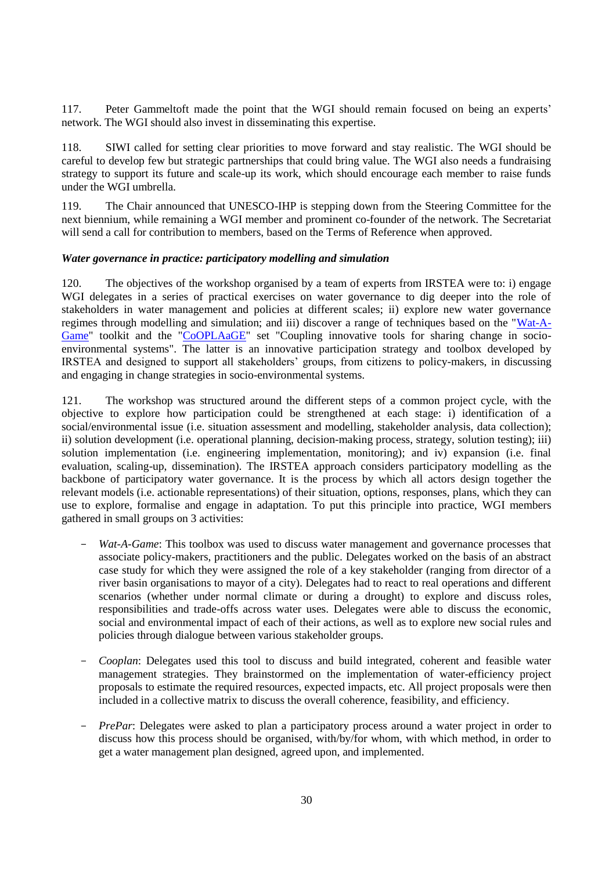117. Peter Gammeltoft made the point that the WGI should remain focused on being an experts' network. The WGI should also invest in disseminating this expertise.

118. SIWI called for setting clear priorities to move forward and stay realistic. The WGI should be careful to develop few but strategic partnerships that could bring value. The WGI also needs a fundraising strategy to support its future and scale-up its work, which should encourage each member to raise funds under the WGI umbrella.

119. The Chair announced that UNESCO-IHP is stepping down from the Steering Committee for the next biennium, while remaining a WGI member and prominent co-founder of the network. The Secretariat will send a call for contribution to members, based on the Terms of Reference when approved.

#### <span id="page-29-0"></span>*Water governance in practice: participatory modelling and simulation*

120. The objectives of the workshop organised by a team of experts from IRSTEA were to: i) engage WGI delegates in a series of practical exercises on water governance to dig deeper into the role of stakeholders in water management and policies at different scales; ii) explore new water governance regimes through modelling and simulation; and iii) discover a range of techniques based on the ["Wat-A-](http://www.irstea.fr/en/wat-game-methodological-kit-catchment-area-management)[Game"](http://www.irstea.fr/en/wat-game-methodological-kit-catchment-area-management) toolkit and the ["CoOPLAaGE"](https://docs.google.com/presentation/d/1nO4Rv-dBYCBZIk7o3c4wiIfTUwCM1pirnLyNicl7DJM/edit?pli=1) set "Coupling innovative tools for sharing change in socioenvironmental systems". The latter is an innovative participation strategy and toolbox developed by IRSTEA and designed to support all stakeholders' groups, from citizens to policy-makers, in discussing and engaging in change strategies in socio-environmental systems.

121. The workshop was structured around the different steps of a common project cycle, with the objective to explore how participation could be strengthened at each stage: i) identification of a social/environmental issue (i.e. situation assessment and modelling, stakeholder analysis, data collection); ii) solution development (i.e. operational planning, decision-making process, strategy, solution testing); iii) solution implementation (i.e. engineering implementation, monitoring); and iv) expansion (i.e. final evaluation, scaling-up, dissemination). The IRSTEA approach considers participatory modelling as the backbone of participatory water governance. It is the process by which all actors design together the relevant models (i.e. actionable representations) of their situation, options, responses, plans, which they can use to explore, formalise and engage in adaptation. To put this principle into practice, WGI members gathered in small groups on 3 activities:

- *Wat-A-Game*: This toolbox was used to discuss water management and governance processes that associate policy-makers, practitioners and the public. Delegates worked on the basis of an abstract case study for which they were assigned the role of a key stakeholder (ranging from director of a river basin organisations to mayor of a city). Delegates had to react to real operations and different scenarios (whether under normal climate or during a drought) to explore and discuss roles, responsibilities and trade-offs across water uses. Delegates were able to discuss the economic, social and environmental impact of each of their actions, as well as to explore new social rules and policies through dialogue between various stakeholder groups.
- *Cooplan*: Delegates used this tool to discuss and build integrated, coherent and feasible water management strategies. They brainstormed on the implementation of water-efficiency project proposals to estimate the required resources, expected impacts, etc. All project proposals were then included in a collective matrix to discuss the overall coherence, feasibility, and efficiency.
- *PrePar*: Delegates were asked to plan a participatory process around a water project in order to discuss how this process should be organised, with/by/for whom, with which method, in order to get a water management plan designed, agreed upon, and implemented.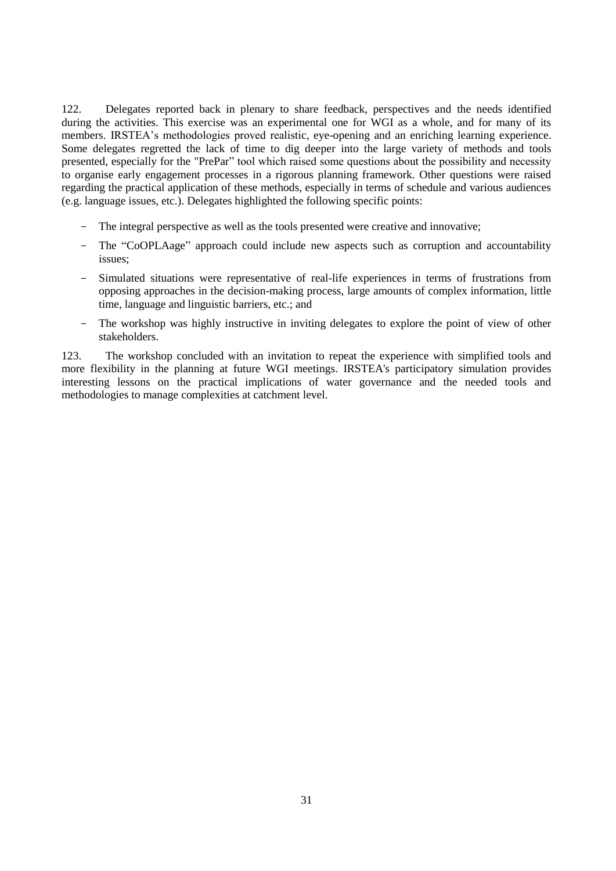122. Delegates reported back in plenary to share feedback, perspectives and the needs identified during the activities. This exercise was an experimental one for WGI as a whole, and for many of its members. IRSTEA's methodologies proved realistic, eye-opening and an enriching learning experience. Some delegates regretted the lack of time to dig deeper into the large variety of methods and tools presented, especially for the "PrePar" tool which raised some questions about the possibility and necessity to organise early engagement processes in a rigorous planning framework. Other questions were raised regarding the practical application of these methods, especially in terms of schedule and various audiences (e.g. language issues, etc.). Delegates highlighted the following specific points:

- The integral perspective as well as the tools presented were creative and innovative;
- The "CoOPLAage" approach could include new aspects such as corruption and accountability issues;
- Simulated situations were representative of real-life experiences in terms of frustrations from opposing approaches in the decision-making process, large amounts of complex information, little time, language and linguistic barriers, etc.; and
- The workshop was highly instructive in inviting delegates to explore the point of view of other stakeholders.

123. The workshop concluded with an invitation to repeat the experience with simplified tools and more flexibility in the planning at future WGI meetings. IRSTEA's participatory simulation provides interesting lessons on the practical implications of water governance and the needed tools and methodologies to manage complexities at catchment level.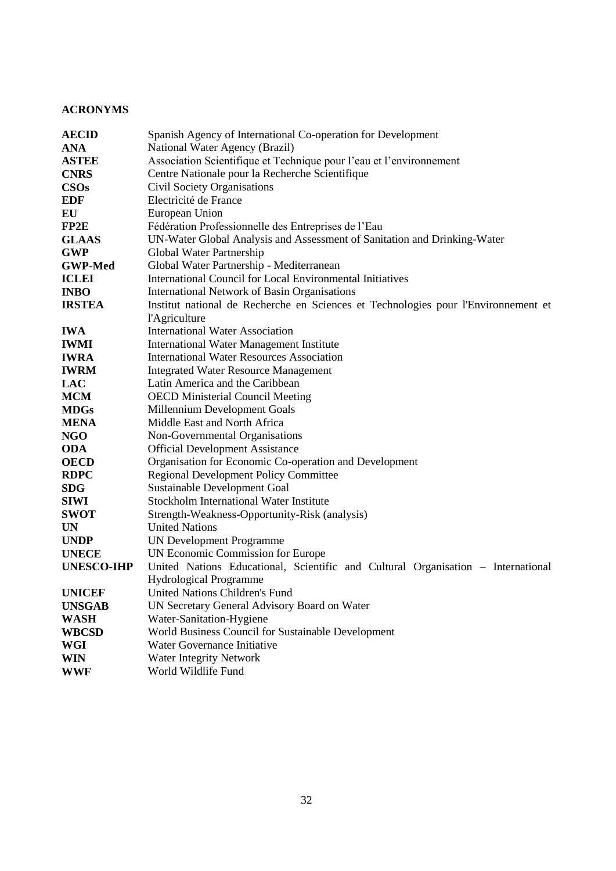# <span id="page-31-0"></span>**ACRONYMS**

| <b>AECID</b>      | Spanish Agency of International Co-operation for Development                       |  |  |
|-------------------|------------------------------------------------------------------------------------|--|--|
| <b>ANA</b>        | National Water Agency (Brazil)                                                     |  |  |
| <b>ASTEE</b>      | Association Scientifique et Technique pour l'eau et l'environnement                |  |  |
| <b>CNRS</b>       | Centre Nationale pour la Recherche Scientifique                                    |  |  |
| <b>CSOs</b>       | Civil Society Organisations                                                        |  |  |
| <b>EDF</b>        | Electricité de France                                                              |  |  |
| EU                | European Union                                                                     |  |  |
| FP2E              | Fédération Professionnelle des Entreprises de l'Eau                                |  |  |
| <b>GLAAS</b>      | UN-Water Global Analysis and Assessment of Sanitation and Drinking-Water           |  |  |
| <b>GWP</b>        | Global Water Partnership                                                           |  |  |
| <b>GWP-Med</b>    | Global Water Partnership - Mediterranean                                           |  |  |
| <b>ICLEI</b>      | International Council for Local Environmental Initiatives                          |  |  |
| <b>INBO</b>       | International Network of Basin Organisations                                       |  |  |
| <b>IRSTEA</b>     | Institut national de Recherche en Sciences et Technologies pour l'Environnement et |  |  |
|                   | l'Agriculture                                                                      |  |  |
| <b>IWA</b>        | <b>International Water Association</b>                                             |  |  |
| <b>IWMI</b>       | International Water Management Institute                                           |  |  |
| <b>IWRA</b>       | <b>International Water Resources Association</b>                                   |  |  |
| <b>IWRM</b>       | <b>Integrated Water Resource Management</b>                                        |  |  |
| <b>LAC</b>        | Latin America and the Caribbean                                                    |  |  |
| <b>MCM</b>        | <b>OECD Ministerial Council Meeting</b>                                            |  |  |
| <b>MDGs</b>       | Millennium Development Goals                                                       |  |  |
| <b>MENA</b>       | Middle East and North Africa                                                       |  |  |
| <b>NGO</b>        | Non-Governmental Organisations                                                     |  |  |
| <b>ODA</b>        | <b>Official Development Assistance</b>                                             |  |  |
| <b>OECD</b>       | Organisation for Economic Co-operation and Development                             |  |  |
| <b>RDPC</b>       | <b>Regional Development Policy Committee</b>                                       |  |  |
| <b>SDG</b>        | Sustainable Development Goal                                                       |  |  |
| <b>SIWI</b>       | Stockholm International Water Institute                                            |  |  |
| <b>SWOT</b>       | Strength-Weakness-Opportunity-Risk (analysis)                                      |  |  |
| <b>UN</b>         | <b>United Nations</b>                                                              |  |  |
| <b>UNDP</b>       | <b>UN Development Programme</b>                                                    |  |  |
| <b>UNECE</b>      | UN Economic Commission for Europe                                                  |  |  |
| <b>UNESCO-IHP</b> | United Nations Educational, Scientific and Cultural Organisation - International   |  |  |
|                   | <b>Hydrological Programme</b>                                                      |  |  |
| <b>UNICEF</b>     | United Nations Children's Fund                                                     |  |  |
| <b>UNSGAB</b>     | UN Secretary General Advisory Board on Water                                       |  |  |
| <b>WASH</b>       | Water-Sanitation-Hygiene                                                           |  |  |
| <b>WBCSD</b>      | World Business Council for Sustainable Development                                 |  |  |
| WGI               | Water Governance Initiative                                                        |  |  |
| <b>WIN</b>        | Water Integrity Network                                                            |  |  |
| <b>WWF</b>        | World Wildlife Fund                                                                |  |  |